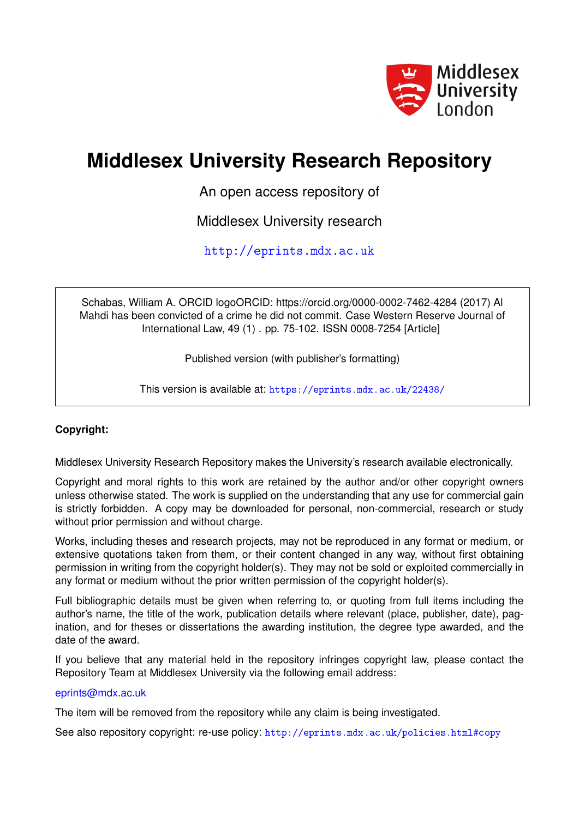

# **Middlesex University Research Repository**

An open access repository of

Middlesex University research

<http://eprints.mdx.ac.uk>

Schabas, William A. ORCID logoORCID: https://orcid.org/0000-0002-7462-4284 (2017) Al Mahdi has been convicted of a crime he did not commit. Case Western Reserve Journal of International Law, 49 (1) . pp. 75-102. ISSN 0008-7254 [Article]

Published version (with publisher's formatting)

This version is available at: <https://eprints.mdx.ac.uk/22438/>

### **Copyright:**

Middlesex University Research Repository makes the University's research available electronically.

Copyright and moral rights to this work are retained by the author and/or other copyright owners unless otherwise stated. The work is supplied on the understanding that any use for commercial gain is strictly forbidden. A copy may be downloaded for personal, non-commercial, research or study without prior permission and without charge.

Works, including theses and research projects, may not be reproduced in any format or medium, or extensive quotations taken from them, or their content changed in any way, without first obtaining permission in writing from the copyright holder(s). They may not be sold or exploited commercially in any format or medium without the prior written permission of the copyright holder(s).

Full bibliographic details must be given when referring to, or quoting from full items including the author's name, the title of the work, publication details where relevant (place, publisher, date), pagination, and for theses or dissertations the awarding institution, the degree type awarded, and the date of the award.

If you believe that any material held in the repository infringes copyright law, please contact the Repository Team at Middlesex University via the following email address:

### [eprints@mdx.ac.uk](mailto:eprints@mdx.ac.uk)

The item will be removed from the repository while any claim is being investigated.

See also repository copyright: re-use policy: <http://eprints.mdx.ac.uk/policies.html#copy>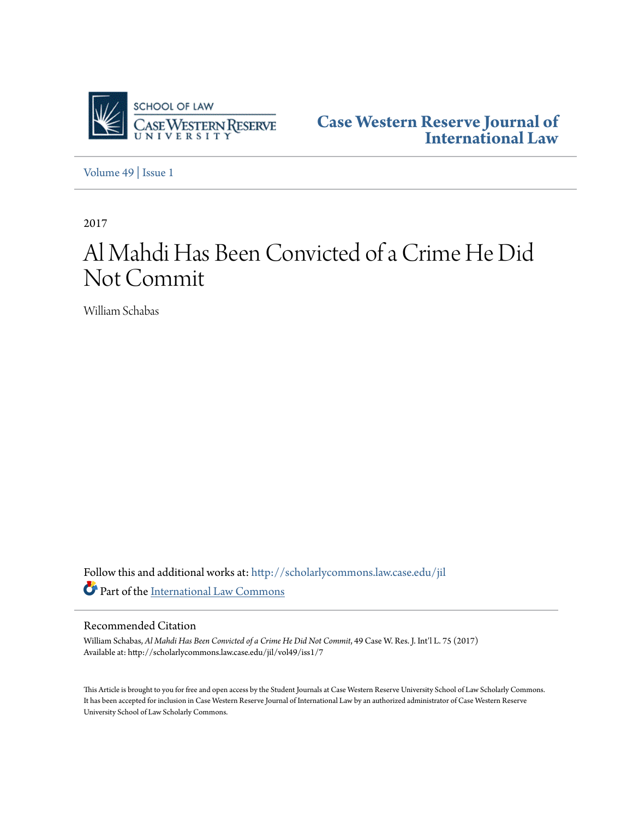

**[Case Western Reserve Journal of](http://scholarlycommons.law.case.edu/jil?utm_source=scholarlycommons.law.case.edu%2Fjil%2Fvol49%2Fiss1%2F7&utm_medium=PDF&utm_campaign=PDFCoverPages) [International Law](http://scholarlycommons.law.case.edu/jil?utm_source=scholarlycommons.law.case.edu%2Fjil%2Fvol49%2Fiss1%2F7&utm_medium=PDF&utm_campaign=PDFCoverPages)**

[Volume 49](http://scholarlycommons.law.case.edu/jil/vol49?utm_source=scholarlycommons.law.case.edu%2Fjil%2Fvol49%2Fiss1%2F7&utm_medium=PDF&utm_campaign=PDFCoverPages) | [Issue 1](http://scholarlycommons.law.case.edu/jil/vol49/iss1?utm_source=scholarlycommons.law.case.edu%2Fjil%2Fvol49%2Fiss1%2F7&utm_medium=PDF&utm_campaign=PDFCoverPages)

2017

# Al Mahdi Has Been Convicted of a Crime He Did Not Commit

William Schabas

Follow this and additional works at: [http://scholarlycommons.law.case.edu/jil](http://scholarlycommons.law.case.edu/jil?utm_source=scholarlycommons.law.case.edu%2Fjil%2Fvol49%2Fiss1%2F7&utm_medium=PDF&utm_campaign=PDFCoverPages) Part of the [International Law Commons](http://network.bepress.com/hgg/discipline/609?utm_source=scholarlycommons.law.case.edu%2Fjil%2Fvol49%2Fiss1%2F7&utm_medium=PDF&utm_campaign=PDFCoverPages)

#### Recommended Citation

William Schabas, *Al Mahdi Has Been Convicted of a Crime He Did Not Commit*, 49 Case W. Res. J. Int'l L. 75 (2017) Available at: http://scholarlycommons.law.case.edu/jil/vol49/iss1/7

This Article is brought to you for free and open access by the Student Journals at Case Western Reserve University School of Law Scholarly Commons. It has been accepted for inclusion in Case Western Reserve Journal of International Law by an authorized administrator of Case Western Reserve University School of Law Scholarly Commons.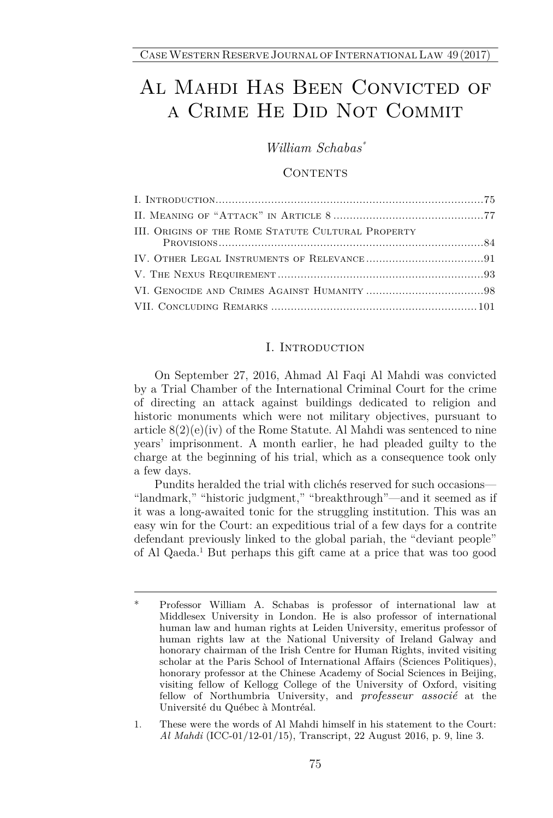## Al Mahdi Has Been Convicted of a Crime He Did Not Commit

*William Schabas\**

#### CONTENTS

| III. ORIGINS OF THE ROME STATUTE CULTURAL PROPERTY |  |
|----------------------------------------------------|--|
|                                                    |  |
|                                                    |  |
|                                                    |  |
|                                                    |  |
|                                                    |  |

#### I. Introduction

On September 27, 2016, Ahmad Al Faqi Al Mahdi was convicted by a Trial Chamber of the International Criminal Court for the crime of directing an attack against buildings dedicated to religion and historic monuments which were not military objectives, pursuant to article 8(2)(e)(iv) of the Rome Statute. Al Mahdi was sentenced to nine years' imprisonment. A month earlier, he had pleaded guilty to the charge at the beginning of his trial, which as a consequence took only a few days.

Pundits heralded the trial with clichés reserved for such occasions— "landmark," "historic judgment," "breakthrough"—and it seemed as if it was a long-awaited tonic for the struggling institution. This was an easy win for the Court: an expeditious trial of a few days for a contrite defendant previously linked to the global pariah, the "deviant people" of Al Qaeda.<sup>1</sup> But perhaps this gift came at a price that was too good

1. These were the words of Al Mahdi himself in his statement to the Court: *Al Mahdi* (ICC-01/12-01/15), Transcript, 22 August 2016, p. 9, line 3.

<sup>\*</sup> Professor William A. Schabas is professor of international law at Middlesex University in London. He is also professor of international human law and human rights at Leiden University, emeritus professor of human rights law at the National University of Ireland Galway and honorary chairman of the Irish Centre for Human Rights, invited visiting scholar at the Paris School of International Affairs (Sciences Politiques), honorary professor at the Chinese Academy of Social Sciences in Beijing, visiting fellow of Kellogg College of the University of Oxford, visiting fellow of Northumbria University, and *professeur associé* at the Université du Québec à Montréal.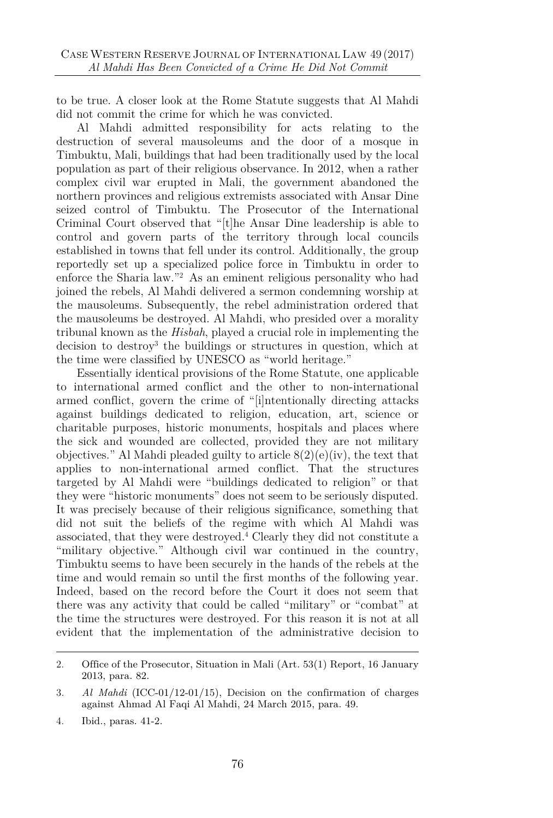to be true. A closer look at the Rome Statute suggests that Al Mahdi did not commit the crime for which he was convicted.

Al Mahdi admitted responsibility for acts relating to the destruction of several mausoleums and the door of a mosque in Timbuktu, Mali, buildings that had been traditionally used by the local population as part of their religious observance. In 2012, when a rather complex civil war erupted in Mali, the government abandoned the northern provinces and religious extremists associated with Ansar Dine seized control of Timbuktu. The Prosecutor of the International Criminal Court observed that "[t]he Ansar Dine leadership is able to control and govern parts of the territory through local councils established in towns that fell under its control. Additionally, the group reportedly set up a specialized police force in Timbuktu in order to enforce the Sharia law." <sup>2</sup> As an eminent religious personality who had joined the rebels, Al Mahdi delivered a sermon condemning worship at the mausoleums. Subsequently, the rebel administration ordered that the mausoleums be destroyed. Al Mahdi, who presided over a morality tribunal known as the *Hisbah*, played a crucial role in implementing the decision to destrov<sup>3</sup> the buildings or structures in question, which at the time were classified by UNESCO as "world heritage."

Essentially identical provisions of the Rome Statute, one applicable to international armed conflict and the other to non-international armed conflict, govern the crime of "[i]ntentionally directing attacks against buildings dedicated to religion, education, art, science or charitable purposes, historic monuments, hospitals and places where the sick and wounded are collected, provided they are not military objectives." Al Mahdi pleaded guilty to article  $8(2)(e)(iv)$ , the text that applies to non-international armed conflict. That the structures targeted by Al Mahdi were "buildings dedicated to religion" or that they were "historic monuments" does not seem to be seriously disputed. It was precisely because of their religious significance, something that did not suit the beliefs of the regime with which Al Mahdi was associated, that they were destroyed.<sup>4</sup> Clearly they did not constitute a "military objective." Although civil war continued in the country, Timbuktu seems to have been securely in the hands of the rebels at the time and would remain so until the first months of the following year. Indeed, based on the record before the Court it does not seem that there was any activity that could be called "military" or "combat" at the time the structures were destroyed. For this reason it is not at all evident that the implementation of the administrative decision to

<sup>2.</sup> Office of the Prosecutor, Situation in Mali (Art. 53(1) Report, 16 January 2013, para. 82.

<sup>3</sup>*. Al Mahdi* (ICC-01/12-01/15), Decision on the confirmation of charges against Ahmad Al Faqi Al Mahdi, 24 March 2015, para. 49.

<sup>4.</sup> Ibid., paras. 41-2.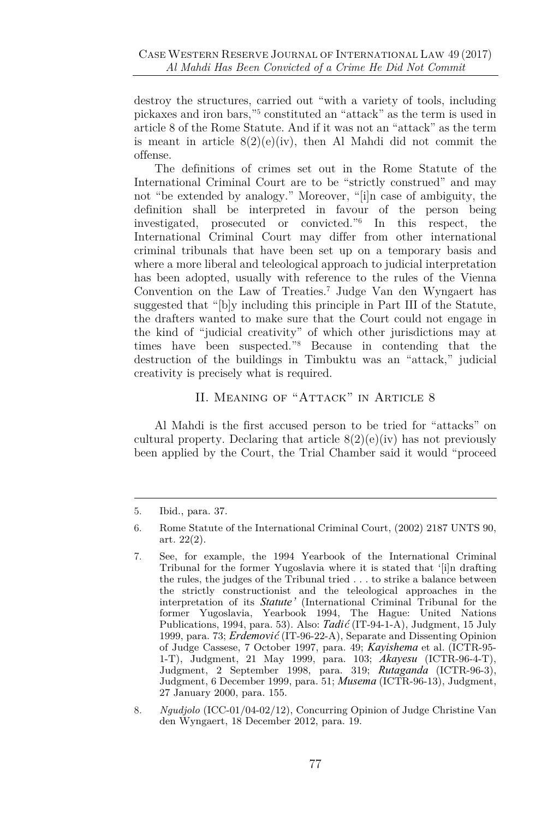destroy the structures, carried out "with a variety of tools, including pickaxes and iron bars," 5 constituted an "attack" as the term is used in article 8 of the Rome Statute. And if it was not an "attack" as the term is meant in article  $8(2)(e)(iv)$ , then Al Mahdi did not commit the offense.

The definitions of crimes set out in the Rome Statute of the International Criminal Court are to be "strictly construed" and may not "be extended by analogy." Moreover, "[i]n case of ambiguity, the definition shall be interpreted in favour of the person being investigated, prosecuted or convicted."<sup>6</sup> In this respect, the International Criminal Court may differ from other international criminal tribunals that have been set up on a temporary basis and where a more liberal and teleological approach to judicial interpretation has been adopted, usually with reference to the rules of the Vienna Convention on the Law of Treaties.<sup>7</sup> Judge Van den Wyngaert has suggested that "[b]y including this principle in Part III of the Statute, the drafters wanted to make sure that the Court could not engage in the kind of "judicial creativity" of which other jurisdictions may at times have been suspected." <sup>8</sup> Because in contending that the destruction of the buildings in Timbuktu was an "attack," judicial creativity is precisely what is required.

#### II. Meaning of "Attack" in Article 8

Al Mahdi is the first accused person to be tried for "attacks" on cultural property. Declaring that article  $8(2)(e)(iv)$  has not previously been applied by the Court, the Trial Chamber said it would "proceed

<sup>5.</sup> Ibid., para. 37.

<sup>6.</sup> Rome Statute of the International Criminal Court, (2002) 2187 UNTS 90, art. 22(2).

<sup>7.</sup> See, for example, the 1994 Yearbook of the International Criminal Tribunal for the former Yugoslavia where it is stated that '[i]n drafting the rules, the judges of the Tribunal tried . . . to strike a balance between the strictly constructionist and the teleological approaches in the interpretation of its *Statute'* (International Criminal Tribunal for the former Yugoslavia, Yearbook 1994, The Hague: United Nations Publications, 1994, para. 53). Also: *Tadić* (IT-94-1-A), Judgment, 15 July 1999, para. 73; *Erdemović* (IT-96-22-A), Separate and Dissenting Opinion of Judge Cassese, 7 October 1997, para. 49; *Kayishema* et al. (ICTR-95- 1-T), Judgment, 21 May 1999, para. 103; *Akayesu* (ICTR-96-4-T), Judgment, 2 September 1998, para. 319; *Rutaganda* (ICTR-96-3), Judgment, 6 December 1999, para. 51; *Musema* (ICTR-96-13), Judgment, 27 January 2000, para. 155.

<sup>8</sup>*. Ngudjolo* (ICC-01/04-02/12), Concurring Opinion of Judge Christine Van den Wyngaert, 18 December 2012, para. 19.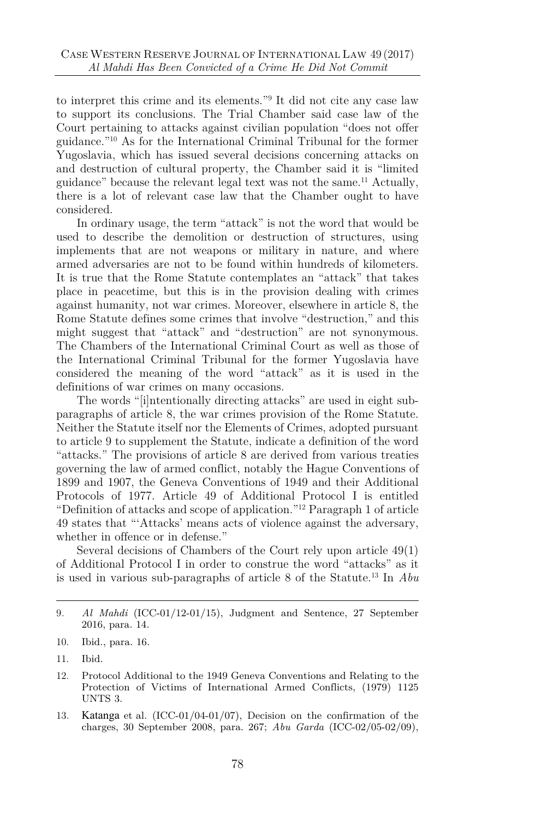to interpret this crime and its elements."<sup>9</sup> It did not cite any case law to support its conclusions. The Trial Chamber said case law of the Court pertaining to attacks against civilian population "does not offer guidance." <sup>10</sup> As for the International Criminal Tribunal for the former Yugoslavia, which has issued several decisions concerning attacks on and destruction of cultural property, the Chamber said it is "limited guidance" because the relevant legal text was not the same.<sup>11</sup> Actually, there is a lot of relevant case law that the Chamber ought to have considered.

In ordinary usage, the term "attack" is not the word that would be used to describe the demolition or destruction of structures, using implements that are not weapons or military in nature, and where armed adversaries are not to be found within hundreds of kilometers. It is true that the Rome Statute contemplates an "attack" that takes place in peacetime, but this is in the provision dealing with crimes against humanity, not war crimes. Moreover, elsewhere in article 8, the Rome Statute defines some crimes that involve "destruction," and this might suggest that "attack" and "destruction" are not synonymous. The Chambers of the International Criminal Court as well as those of the International Criminal Tribunal for the former Yugoslavia have considered the meaning of the word "attack" as it is used in the definitions of war crimes on many occasions.

The words "[i]ntentionally directing attacks" are used in eight subparagraphs of article 8, the war crimes provision of the Rome Statute. Neither the Statute itself nor the Elements of Crimes, adopted pursuant to article 9 to supplement the Statute, indicate a definition of the word "attacks." The provisions of article 8 are derived from various treaties governing the law of armed conflict, notably the Hague Conventions of 1899 and 1907, the Geneva Conventions of 1949 and their Additional Protocols of 1977. Article 49 of Additional Protocol I is entitled "Definition of attacks and scope of application." <sup>12</sup> Paragraph 1 of article 49 states that "'Attacks' means acts of violence against the adversary, whether in offence or in defense."

Several decisions of Chambers of the Court rely upon article 49(1) of Additional Protocol I in order to construe the word "attacks" as it is used in various sub-paragraphs of article 8 of the Statute.<sup>13</sup> In *Abu*

<sup>9</sup>*. Al Mahdi* (ICC-01/12-01/15), Judgment and Sentence, 27 September 2016, para. 14.

<sup>10.</sup> Ibid., para. 16.

<sup>11.</sup> Ibid.

<sup>12.</sup> Protocol Additional to the 1949 Geneva Conventions and Relating to the Protection of Victims of International Armed Conflicts, (1979) 1125 UNTS 3.

<sup>13</sup>*.* Katanga et al. (ICC-01/04-01/07), Decision on the confirmation of the charges, 30 September 2008, para. 267; *Abu Garda* (ICC-02/05-02/09),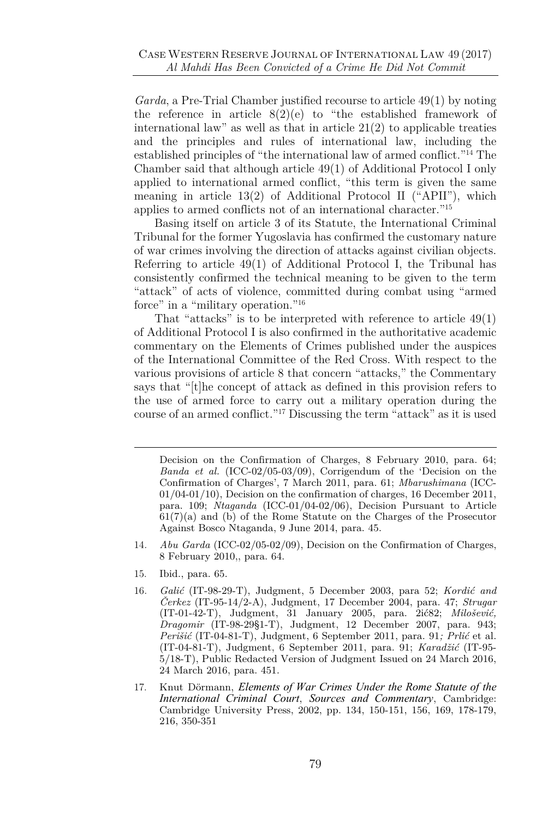*Garda*, a Pre-Trial Chamber justified recourse to article 49(1) by noting the reference in article  $8(2)(e)$  to "the established framework of international law" as well as that in article  $21(2)$  to applicable treaties and the principles and rules of international law, including the established principles of "the international law of armed conflict."<sup>14</sup> The Chamber said that although article 49(1) of Additional Protocol I only applied to international armed conflict, "this term is given the same meaning in article 13(2) of Additional Protocol II ("APII"), which applies to armed conflicts not of an international character."<sup>15</sup>

Basing itself on article 3 of its Statute, the International Criminal Tribunal for the former Yugoslavia has confirmed the customary nature of war crimes involving the direction of attacks against civilian objects. Referring to article 49(1) of Additional Protocol I, the Tribunal has consistently confirmed the technical meaning to be given to the term "attack" of acts of violence, committed during combat using "armed force" in a "military operation."<sup>16</sup>

That "attacks" is to be interpreted with reference to article 49(1) of Additional Protocol I is also confirmed in the authoritative academic commentary on the Elements of Crimes published under the auspices of the International Committee of the Red Cross. With respect to the various provisions of article 8 that concern "attacks," the Commentary says that "[t]he concept of attack as defined in this provision refers to the use of armed force to carry out a military operation during the course of an armed conflict." <sup>17</sup> Discussing the term "attack" as it is used

- 14*. Abu Garda* (ICC-02/05-02/09), Decision on the Confirmation of Charges, 8 February 2010,, para. 64.
- 15. Ibid., para. 65.
- 16*. Galić* (IT-98-29-T), Judgment, 5 December 2003, para 52; *Kordić and Čerkez* (IT-95-14/2-A), Judgment, 17 December 2004, para. 47; *Strugar* (IT-01-42-T), Judgment, 31 January 2005, para. 2ić82; *Milošević, Dragomir* (IT-98-29§1-T), Judgment, 12 December 2007, para. 943; *Perišić* (IT-04-81-T), Judgment, 6 September 2011, para. 91*; Prlić* et al. (IT-04-81-T), Judgment, 6 September 2011, para. 91; *Karadžić* (IT-95- 5/18-T), Public Redacted Version of Judgment Issued on 24 March 2016, 24 March 2016, para. 451.
- 17. Knut Dörmann, *Elements of War Crimes Under the Rome Statute of the International Criminal Court*, *Sources and Commentary*, Cambridge: Cambridge University Press, 2002, pp. 134, 150-151, 156, 169, 178-179, 216, 350-351

Decision on the Confirmation of Charges, 8 February 2010, para. 64; *Banda et al.* (ICC-02/05-03/09), Corrigendum of the 'Decision on the Confirmation of Charges', 7 March 2011, para. 61; *Mbarushimana* (ICC-01/04-01/10), Decision on the confirmation of charges, 16 December 2011, para. 109; *Ntaganda* (ICC-01/04-02/06), Decision Pursuant to Article 61(7)(a) and (b) of the Rome Statute on the Charges of the Prosecutor Against Bosco Ntaganda, 9 June 2014, para. 45.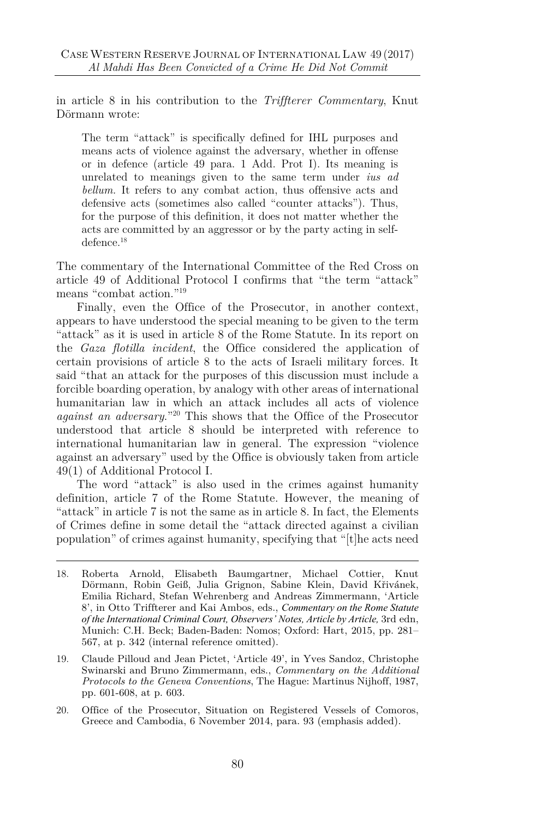in article 8 in his contribution to the *Triffterer Commentary*, Knut Dörmann wrote:

The term "attack" is specifically defined for IHL purposes and means acts of violence against the adversary, whether in offense or in defence (article 49 para. 1 Add. Prot I). Its meaning is unrelated to meanings given to the same term under *ius ad bellum.* It refers to any combat action, thus offensive acts and defensive acts (sometimes also called "counter attacks"). Thus, for the purpose of this definition, it does not matter whether the acts are committed by an aggressor or by the party acting in selfdefence.<sup>18</sup>

The commentary of the International Committee of the Red Cross on article 49 of Additional Protocol I confirms that "the term "attack" means "combat action."<sup>19</sup>

Finally, even the Office of the Prosecutor, in another context, appears to have understood the special meaning to be given to the term "attack" as it is used in article 8 of the Rome Statute. In its report on the *Gaza flotilla incident*, the Office considered the application of certain provisions of article 8 to the acts of Israeli military forces. It said "that an attack for the purposes of this discussion must include a forcible boarding operation, by analogy with other areas of international humanitarian law in which an attack includes all acts of violence *against an adversary*." <sup>20</sup> This shows that the Office of the Prosecutor understood that article 8 should be interpreted with reference to international humanitarian law in general. The expression "violence against an adversary" used by the Office is obviously taken from article 49(1) of Additional Protocol I.

The word "attack" is also used in the crimes against humanity definition, article 7 of the Rome Statute. However, the meaning of "attack" in article 7 is not the same as in article 8. In fact, the Elements of Crimes define in some detail the "attack directed against a civilian population" of crimes against humanity, specifying that "[t]he acts need

- 18. Roberta Arnold, Elisabeth Baumgartner, Michael Cottier, Knut Dörmann, Robin Geiß, Julia Grignon, Sabine Klein, David Křivánek, Emilia Richard, Stefan Wehrenberg and Andreas Zimmermann, 'Article 8', in Otto Triffterer and Kai Ambos, eds., *Commentary on the Rome Statute of the International Criminal Court, Observers' Notes, Article by Article,* 3rd edn, Munich: C.H. Beck; Baden-Baden: Nomos; Oxford: Hart, 2015, pp. 281– 567, at p. 342 (internal reference omitted).
- 19. Claude Pilloud and Jean Pictet, 'Article 49', in Yves Sandoz, Christophe Swinarski and Bruno Zimmermann, eds., *Commentary on the Additional Protocols to the Geneva Conventions*, The Hague: Martinus Nijhoff, 1987, pp. 601-608, at p. 603.
- 20. Office of the Prosecutor, Situation on Registered Vessels of Comoros, Greece and Cambodia, 6 November 2014, para. 93 (emphasis added).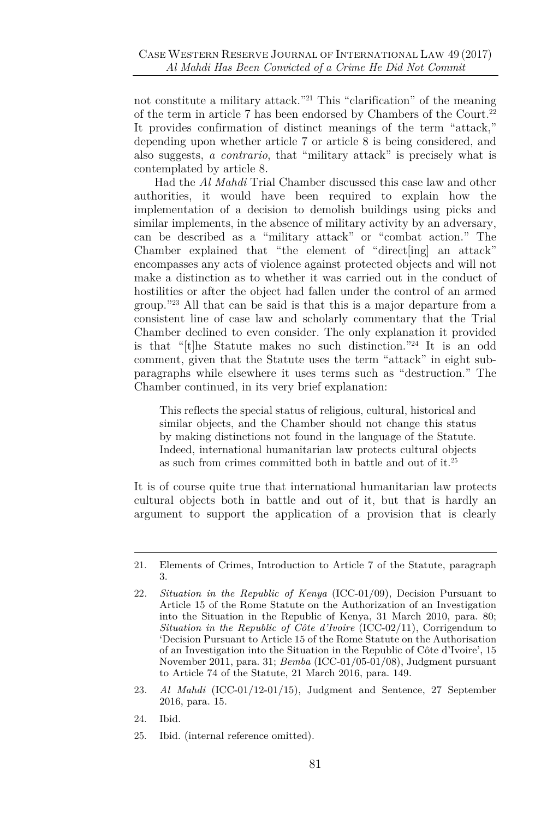not constitute a military attack." <sup>21</sup> This "clarification" of the meaning of the term in article 7 has been endorsed by Chambers of the Court.<sup>22</sup> It provides confirmation of distinct meanings of the term "attack," depending upon whether article 7 or article 8 is being considered, and also suggests, *a contrario*, that "military attack" is precisely what is contemplated by article 8.

Had the *Al Mahdi* Trial Chamber discussed this case law and other authorities, it would have been required to explain how the implementation of a decision to demolish buildings using picks and similar implements, in the absence of military activity by an adversary, can be described as a "military attack" or "combat action." The Chamber explained that "the element of "direct[ing] an attack" encompasses any acts of violence against protected objects and will not make a distinction as to whether it was carried out in the conduct of hostilities or after the object had fallen under the control of an armed group." <sup>23</sup> All that can be said is that this is a major departure from a consistent line of case law and scholarly commentary that the Trial Chamber declined to even consider. The only explanation it provided is that "[t]he Statute makes no such distinction." <sup>24</sup> It is an odd comment, given that the Statute uses the term "attack" in eight subparagraphs while elsewhere it uses terms such as "destruction." The Chamber continued, in its very brief explanation:

This reflects the special status of religious, cultural, historical and similar objects, and the Chamber should not change this status by making distinctions not found in the language of the Statute. Indeed, international humanitarian law protects cultural objects as such from crimes committed both in battle and out of it.<sup>25</sup>

It is of course quite true that international humanitarian law protects cultural objects both in battle and out of it, but that is hardly an argument to support the application of a provision that is clearly

- 23*. Al Mahdi* (ICC-01/12-01/15), Judgment and Sentence, 27 September 2016, para. 15.
- 24. Ibid.
- 25. Ibid. (internal reference omitted).

<sup>21.</sup> Elements of Crimes, Introduction to Article 7 of the Statute, paragraph 3.

<sup>22</sup>*. Situation in the Republic of Kenya* (ICC-01/09), Decision Pursuant to Article 15 of the Rome Statute on the Authorization of an Investigation into the Situation in the Republic of Kenya, 31 March 2010, para. 80; *Situation in the Republic of Côte d'Ivoire* (ICC-02/11), Corrigendum to 'Decision Pursuant to Article 15 of the Rome Statute on the Authorisation of an Investigation into the Situation in the Republic of Côte d'Ivoire', 15 November 2011, para. 31; *Bemba* (ICC-01/05-01/08), Judgment pursuant to Article 74 of the Statute, 21 March 2016, para. 149.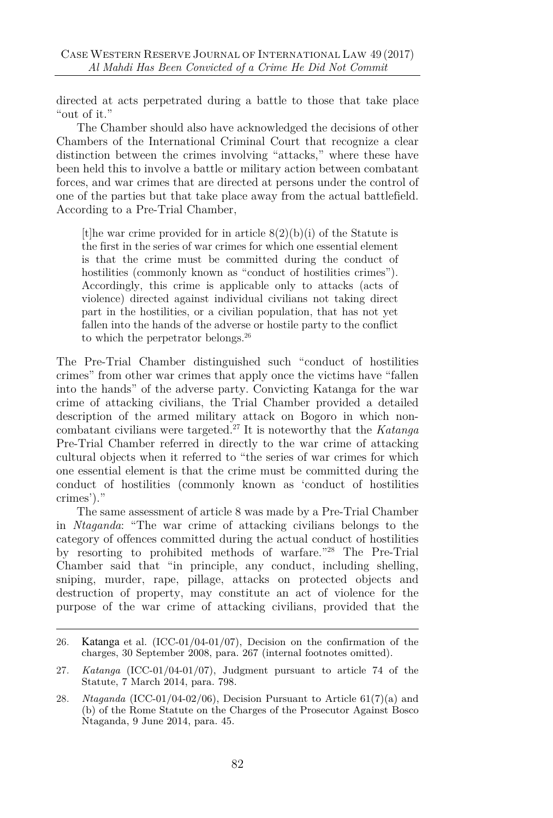directed at acts perpetrated during a battle to those that take place "out of it."

The Chamber should also have acknowledged the decisions of other Chambers of the International Criminal Court that recognize a clear distinction between the crimes involving "attacks," where these have been held this to involve a battle or military action between combatant forces, and war crimes that are directed at persons under the control of one of the parties but that take place away from the actual battlefield. According to a Pre-Trial Chamber,

[t] the war crime provided for in article  $8(2)(b)(i)$  of the Statute is the first in the series of war crimes for which one essential element is that the crime must be committed during the conduct of hostilities (commonly known as "conduct of hostilities crimes"). Accordingly, this crime is applicable only to attacks (acts of violence) directed against individual civilians not taking direct part in the hostilities, or a civilian population, that has not yet fallen into the hands of the adverse or hostile party to the conflict to which the perpetrator belongs.<sup>26</sup>

The Pre-Trial Chamber distinguished such "conduct of hostilities crimes" from other war crimes that apply once the victims have "fallen into the hands" of the adverse party. Convicting Katanga for the war crime of attacking civilians, the Trial Chamber provided a detailed description of the armed military attack on Bogoro in which noncombatant civilians were targeted.<sup>27</sup> It is noteworthy that the *Katanga* Pre-Trial Chamber referred in directly to the war crime of attacking cultural objects when it referred to "the series of war crimes for which one essential element is that the crime must be committed during the conduct of hostilities (commonly known as 'conduct of hostilities crimes')."

The same assessment of article 8 was made by a Pre-Trial Chamber in *Ntaganda*: "The war crime of attacking civilians belongs to the category of offences committed during the actual conduct of hostilities by resorting to prohibited methods of warfare." <sup>28</sup> The Pre-Trial Chamber said that "in principle, any conduct, including shelling, sniping, murder, rape, pillage, attacks on protected objects and destruction of property, may constitute an act of violence for the purpose of the war crime of attacking civilians, provided that the

<sup>26</sup>*.* Katanga et al. (ICC-01/04-01/07), Decision on the confirmation of the charges, 30 September 2008, para. 267 (internal footnotes omitted).

<sup>27</sup>*. Katanga* (ICC-01/04-01/07), Judgment pursuant to article 74 of the Statute, 7 March 2014, para. 798.

<sup>28</sup>*. Ntaganda* (ICC-01/04-02/06), Decision Pursuant to Article 61(7)(a) and (b) of the Rome Statute on the Charges of the Prosecutor Against Bosco Ntaganda, 9 June 2014, para. 45.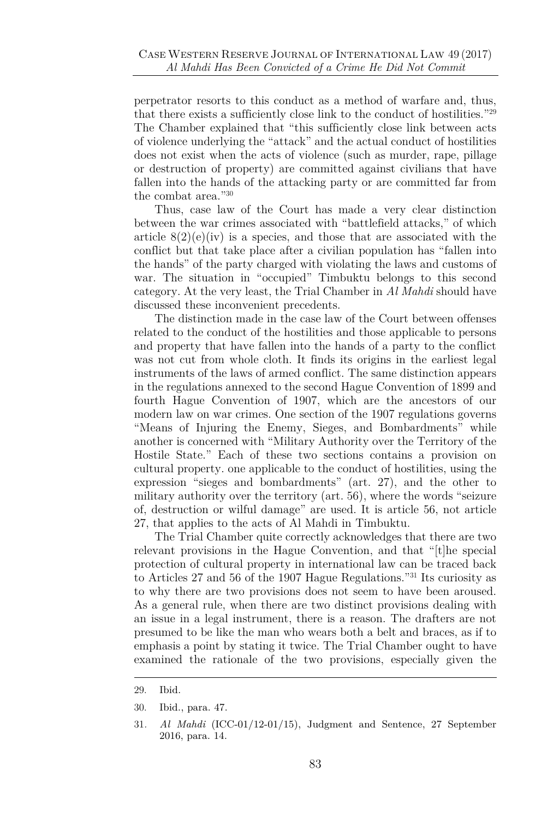perpetrator resorts to this conduct as a method of warfare and, thus, that there exists a sufficiently close link to the conduct of hostilities."<sup>29</sup> The Chamber explained that "this sufficiently close link between acts of violence underlying the "attack" and the actual conduct of hostilities does not exist when the acts of violence (such as murder, rape, pillage or destruction of property) are committed against civilians that have fallen into the hands of the attacking party or are committed far from the combat area."<sup>30</sup>

Thus, case law of the Court has made a very clear distinction between the war crimes associated with "battlefield attacks," of which article  $8(2)(e)(iv)$  is a species, and those that are associated with the conflict but that take place after a civilian population has "fallen into the hands" of the party charged with violating the laws and customs of war. The situation in "occupied" Timbuktu belongs to this second category. At the very least, the Trial Chamber in *Al Mahdi* should have discussed these inconvenient precedents.

The distinction made in the case law of the Court between offenses related to the conduct of the hostilities and those applicable to persons and property that have fallen into the hands of a party to the conflict was not cut from whole cloth. It finds its origins in the earliest legal instruments of the laws of armed conflict. The same distinction appears in the regulations annexed to the second Hague Convention of 1899 and fourth Hague Convention of 1907, which are the ancestors of our modern law on war crimes. One section of the 1907 regulations governs "Means of Injuring the Enemy, Sieges, and Bombardments" while another is concerned with "Military Authority over the Territory of the Hostile State." Each of these two sections contains a provision on cultural property. one applicable to the conduct of hostilities, using the expression "sieges and bombardments" (art. 27), and the other to military authority over the territory (art. 56), where the words "seizure of, destruction or wilful damage" are used. It is article 56, not article 27, that applies to the acts of Al Mahdi in Timbuktu.

The Trial Chamber quite correctly acknowledges that there are two relevant provisions in the Hague Convention, and that "[t]he special protection of cultural property in international law can be traced back to Articles 27 and 56 of the 1907 Hague Regulations." <sup>31</sup> Its curiosity as to why there are two provisions does not seem to have been aroused. As a general rule, when there are two distinct provisions dealing with an issue in a legal instrument, there is a reason. The drafters are not presumed to be like the man who wears both a belt and braces, as if to emphasis a point by stating it twice. The Trial Chamber ought to have examined the rationale of the two provisions, especially given the

<sup>29.</sup> Ibid.

<sup>30.</sup> Ibid., para. 47.

<sup>31</sup>*. Al Mahdi* (ICC-01/12-01/15), Judgment and Sentence, 27 September 2016, para. 14.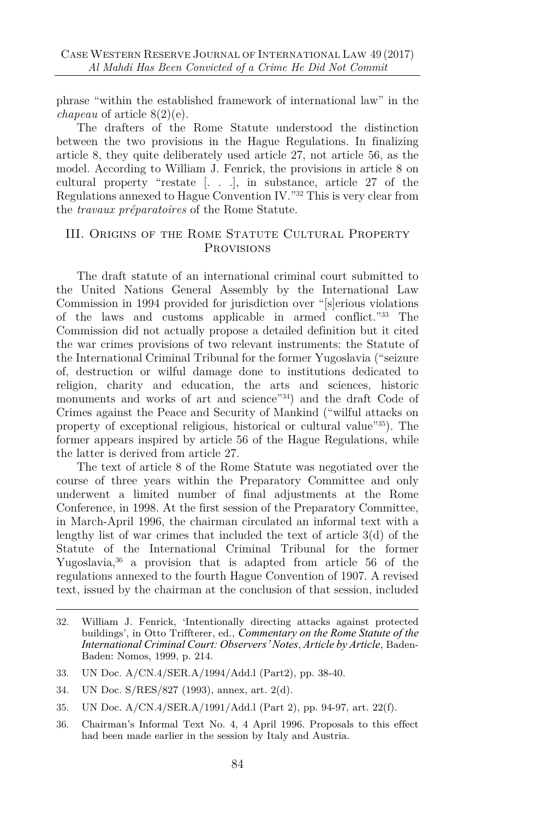phrase "within the established framework of international law" in the *chapeau* of article 8(2)(e).

The drafters of the Rome Statute understood the distinction between the two provisions in the Hague Regulations. In finalizing article 8, they quite deliberately used article 27, not article 56, as the model. According to William J. Fenrick, the provisions in article 8 on cultural property "restate [. . .], in substance, article 27 of the Regulations annexed to Hague Convention IV." <sup>32</sup> This is very clear from the *travaux préparatoires* of the Rome Statute.

#### III. Origins of the Rome Statute Cultural Property **PROVISIONS**

The draft statute of an international criminal court submitted to the United Nations General Assembly by the International Law Commission in 1994 provided for jurisdiction over "[s]erious violations of the laws and customs applicable in armed conflict." <sup>33</sup> The Commission did not actually propose a detailed definition but it cited the war crimes provisions of two relevant instruments: the Statute of the International Criminal Tribunal for the former Yugoslavia ("seizure of, destruction or wilful damage done to institutions dedicated to religion, charity and education, the arts and sciences, historic monuments and works of art and science"<sup>34</sup>) and the draft Code of Crimes against the Peace and Security of Mankind ("wilful attacks on property of exceptional religious, historical or cultural value" <sup>35</sup>). The former appears inspired by article 56 of the Hague Regulations, while the latter is derived from article 27.

The text of article 8 of the Rome Statute was negotiated over the course of three years within the Preparatory Committee and only underwent a limited number of final adjustments at the Rome Conference, in 1998. At the first session of the Preparatory Committee, in March-April 1996, the chairman circulated an informal text with a lengthy list of war crimes that included the text of article 3(d) of the Statute of the International Criminal Tribunal for the former Yugoslavia,<sup>36</sup> a provision that is adapted from article 56 of the regulations annexed to the fourth Hague Convention of 1907. A revised text, issued by the chairman at the conclusion of that session, included

<sup>32.</sup> William J. Fenrick, 'Intentionally directing attacks against protected buildings', in Otto Triffterer, ed., *Commentary on the Rome Statute of the International Criminal Court: Observers' Notes*, *Article by Article*, Baden-Baden: Nomos, 1999, p. 214.

<sup>33.</sup> UN Doc. A/CN.4/SER.A/1994/Add.l (Part2), pp. 38-40.

<sup>34.</sup> UN Doc. S/RES/827 (1993), annex, art. 2(d).

<sup>35.</sup> UN Doc. A/CN.4/SER.A/1991/Add.l (Part 2), pp. 94-97, art. 22(f).

<sup>36.</sup> Chairman's Informal Text No. 4, 4 April 1996. Proposals to this effect had been made earlier in the session by Italy and Austria.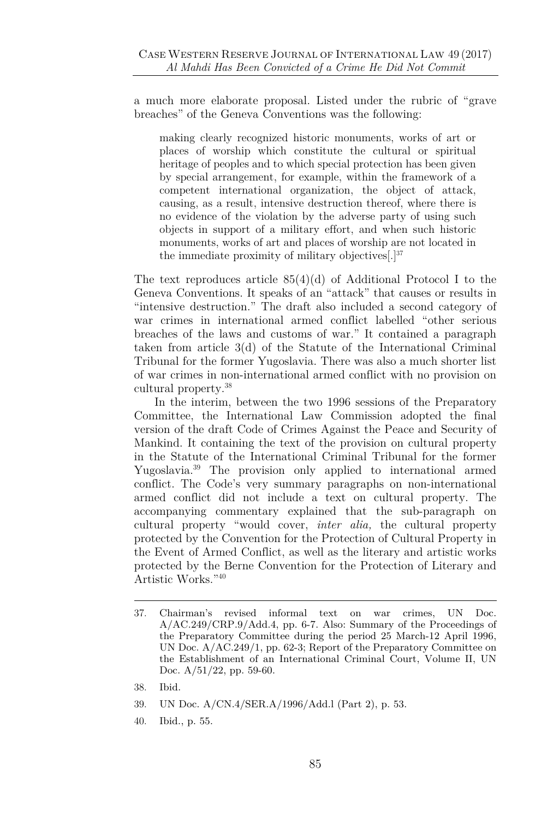a much more elaborate proposal. Listed under the rubric of "grave breaches" of the Geneva Conventions was the following:

making clearly recognized historic monuments, works of art or places of worship which constitute the cultural or spiritual heritage of peoples and to which special protection has been given by special arrangement, for example, within the framework of a competent international organization, the object of attack, causing, as a result, intensive destruction thereof, where there is no evidence of the violation by the adverse party of using such objects in support of a military effort, and when such historic monuments, works of art and places of worship are not located in the immediate proximity of military objectives $[.]^{37}$ 

The text reproduces article  $85(4)(d)$  of Additional Protocol I to the Geneva Conventions. It speaks of an "attack" that causes or results in "intensive destruction." The draft also included a second category of war crimes in international armed conflict labelled "other serious breaches of the laws and customs of war." It contained a paragraph taken from article 3(d) of the Statute of the International Criminal Tribunal for the former Yugoslavia. There was also a much shorter list of war crimes in non-international armed conflict with no provision on cultural property.<sup>38</sup>

In the interim, between the two 1996 sessions of the Preparatory Committee, the International Law Commission adopted the final version of the draft Code of Crimes Against the Peace and Security of Mankind. It containing the text of the provision on cultural property in the Statute of the International Criminal Tribunal for the former Yugoslavia.<sup>39</sup> The provision only applied to international armed conflict. The Code's very summary paragraphs on non-international armed conflict did not include a text on cultural property. The accompanying commentary explained that the sub-paragraph on cultural property "would cover, *inter alia,* the cultural property protected by the Convention for the Protection of Cultural Property in the Event of Armed Conflict, as well as the literary and artistic works protected by the Berne Convention for the Protection of Literary and Artistic Works." 40

- 38. Ibid.
- 39. UN Doc. A/CN.4/SER.A/1996/Add.l (Part 2), p. 53.
- 40. Ibid., p. 55.

<sup>37.</sup> Chairman's revised informal text on war crimes, UN Doc. A/AC.249/CRP.9/Add.4, pp. 6-7. Also: Summary of the Proceedings of the Preparatory Committee during the period 25 March-12 April 1996, UN Doc. A/AC.249/1, pp. 62-3; Report of the Preparatory Committee on the Establishment of an International Criminal Court, Volume II, UN Doc. A/51/22, pp. 59-60.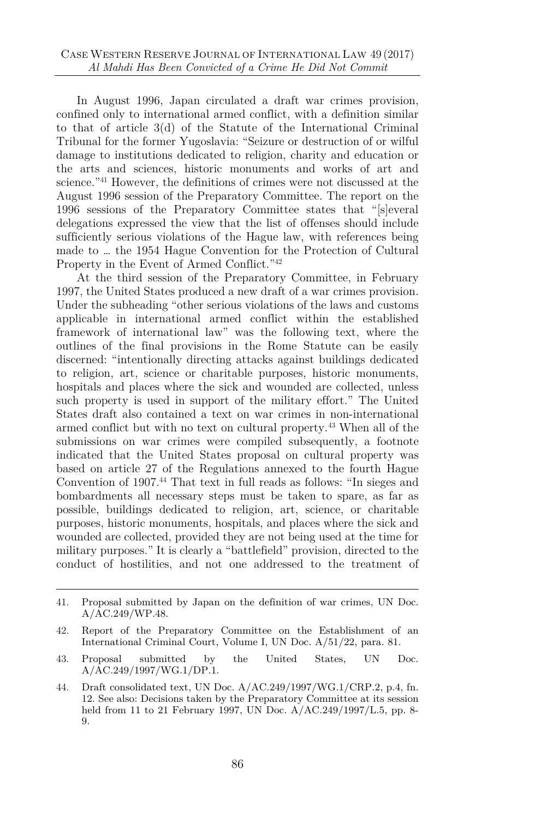In August 1996, Japan circulated a draft war crimes provision, confined only to international armed conflict, with a definition similar to that of article 3(d) of the Statute of the International Criminal Tribunal for the former Yugoslavia: "Seizure or destruction of or wilful damage to institutions dedicated to religion, charity and education or the arts and sciences, historic monuments and works of art and science.<sup>"41</sup> However, the definitions of crimes were not discussed at the August 1996 session of the Preparatory Committee. The report on the 1996 sessions of the Preparatory Committee states that "[s]everal delegations expressed the view that the list of offenses should include sufficiently serious violations of the Hague law, with references being made to … the 1954 Hague Convention for the Protection of Cultural Property in the Event of Armed Conflict."<sup>42</sup>

At the third session of the Preparatory Committee, in February 1997, the United States produced a new draft of a war crimes provision. Under the subheading "other serious violations of the laws and customs applicable in international armed conflict within the established framework of international law" was the following text, where the outlines of the final provisions in the Rome Statute can be easily discerned: "intentionally directing attacks against buildings dedicated to religion, art, science or charitable purposes, historic monuments, hospitals and places where the sick and wounded are collected, unless such property is used in support of the military effort." The United States draft also contained a text on war crimes in non-international armed conflict but with no text on cultural property.<sup>43</sup> When all of the submissions on war crimes were compiled subsequently, a footnote indicated that the United States proposal on cultural property was based on article 27 of the Regulations annexed to the fourth Hague Convention of 1907.<sup>44</sup> That text in full reads as follows: "In sieges and bombardments all necessary steps must be taken to spare, as far as possible, buildings dedicated to religion, art, science, or charitable purposes, historic monuments, hospitals, and places where the sick and wounded are collected, provided they are not being used at the time for military purposes." It is clearly a "battlefield" provision, directed to the conduct of hostilities, and not one addressed to the treatment of

<sup>41.</sup> Proposal submitted by Japan on the definition of war crimes, UN Doc. A/AC.249/WP.48.

<sup>42.</sup> Report of the Preparatory Committee on the Establishment of an International Criminal Court, Volume I, UN Doc. A/51/22, para. 81.

<sup>43.</sup> Proposal submitted by the United States, UN Doc. A/AC.249/1997/WG.1/DP.1.

<sup>44.</sup> Draft consolidated text, UN Doc. A/AC.249/1997/WG.1/CRP.2, p.4, fn. 12. See also: Decisions taken by the Preparatory Committee at its session held from 11 to 21 February 1997, UN Doc. A/AC.249/1997/L.5, pp. 8- 9.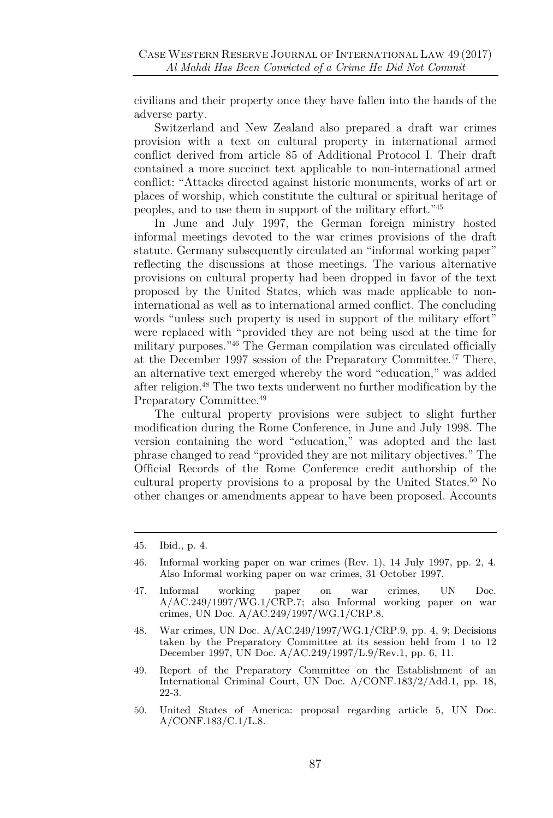civilians and their property once they have fallen into the hands of the adverse party.

Switzerland and New Zealand also prepared a draft war crimes provision with a text on cultural property in international armed conflict derived from article 85 of Additional Protocol I. Their draft contained a more succinct text applicable to non-international armed conflict: "Attacks directed against historic monuments, works of art or places of worship, which constitute the cultural or spiritual heritage of peoples, and to use them in support of the military effort."<sup>45</sup>

In June and July 1997, the German foreign ministry hosted informal meetings devoted to the war crimes provisions of the draft statute. Germany subsequently circulated an "informal working paper" reflecting the discussions at those meetings. The various alternative provisions on cultural property had been dropped in favor of the text proposed by the United States, which was made applicable to noninternational as well as to international armed conflict. The concluding words "unless such property is used in support of the military effort" were replaced with "provided they are not being used at the time for military purposes." <sup>46</sup> The German compilation was circulated officially at the December 1997 session of the Preparatory Committee.<sup>47</sup> There, an alternative text emerged whereby the word "education," was added after religion.<sup>48</sup> The two texts underwent no further modification by the Preparatory Committee.<sup>49</sup>

The cultural property provisions were subject to slight further modification during the Rome Conference, in June and July 1998. The version containing the word "education," was adopted and the last phrase changed to read "provided they are not military objectives." The Official Records of the Rome Conference credit authorship of the cultural property provisions to a proposal by the United States.<sup>50</sup> No other changes or amendments appear to have been proposed. Accounts

<sup>45.</sup> Ibid., p. 4.

<sup>46.</sup> Informal working paper on war crimes (Rev. 1), 14 July 1997, pp. 2, 4. Also Informal working paper on war crimes, 31 October 1997.

<sup>47.</sup> Informal working paper on war crimes, UN Doc. A/AC.249/1997/WG.1/CRP.7; also Informal working paper on war crimes, UN Doc. A/AC.249/1997/WG.1/CRP.8.

<sup>48.</sup> War crimes, UN Doc. A/AC.249/1997/WG.1/CRP.9, pp. 4, 9; Decisions taken by the Preparatory Committee at its session held from 1 to 12 December 1997, UN Doc. A/AC.249/1997/L.9/Rev.1, pp. 6, 11.

<sup>49.</sup> Report of the Preparatory Committee on the Establishment of an International Criminal Court, UN Doc. A/CONF.183/2/Add.1, pp. 18, 22-3.

<sup>50.</sup> United States of America: proposal regarding article 5, UN Doc. A/CONF.183/C.1/L.8.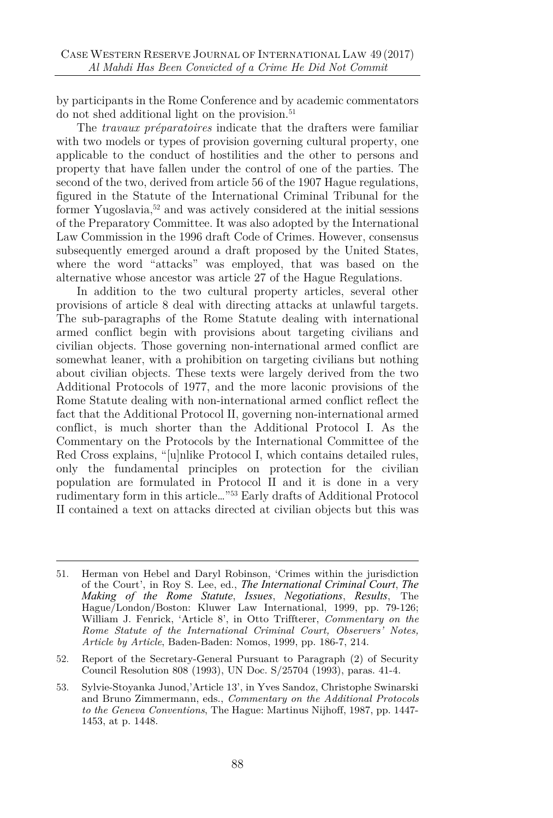by participants in the Rome Conference and by academic commentators do not shed additional light on the provision.<sup>51</sup>

The *travaux préparatoires* indicate that the drafters were familiar with two models or types of provision governing cultural property, one applicable to the conduct of hostilities and the other to persons and property that have fallen under the control of one of the parties. The second of the two, derived from article 56 of the 1907 Hague regulations, figured in the Statute of the International Criminal Tribunal for the former Yugoslavia,<sup>52</sup> and was actively considered at the initial sessions of the Preparatory Committee. It was also adopted by the International Law Commission in the 1996 draft Code of Crimes. However, consensus subsequently emerged around a draft proposed by the United States, where the word "attacks" was employed, that was based on the alternative whose ancestor was article 27 of the Hague Regulations.

In addition to the two cultural property articles, several other provisions of article 8 deal with directing attacks at unlawful targets. The sub-paragraphs of the Rome Statute dealing with international armed conflict begin with provisions about targeting civilians and civilian objects. Those governing non-international armed conflict are somewhat leaner, with a prohibition on targeting civilians but nothing about civilian objects. These texts were largely derived from the two Additional Protocols of 1977, and the more laconic provisions of the Rome Statute dealing with non-international armed conflict reflect the fact that the Additional Protocol II, governing non-international armed conflict, is much shorter than the Additional Protocol I. As the Commentary on the Protocols by the International Committee of the Red Cross explains, "[u]nlike Protocol I, which contains detailed rules, only the fundamental principles on protection for the civilian population are formulated in Protocol II and it is done in a very rudimentary form in this article…"<sup>53</sup> Early drafts of Additional Protocol II contained a text on attacks directed at civilian objects but this was

<sup>51.</sup> Herman von Hebel and Daryl Robinson, 'Crimes within the jurisdiction of the Court', in Roy S. Lee, ed., *The International Criminal Court*, *The Making of the Rome Statute*, *Issues*, *Negotiations*, *Results*, The Hague/London/Boston: Kluwer Law International, 1999, pp. 79-126; William J. Fenrick, 'Article 8', in Otto Triffterer, *Commentary on the Rome Statute of the International Criminal Court, Observers' Notes, Article by Article*, Baden-Baden: Nomos, 1999, pp. 186-7, 214.

<sup>52.</sup> Report of the Secretary-General Pursuant to Paragraph (2) of Security Council Resolution 808 (1993), UN Doc. S/25704 (1993), paras. 41-4.

<sup>53.</sup> Sylvie-Stoyanka Junod,'Article 13', in Yves Sandoz, Christophe Swinarski and Bruno Zimmermann, eds., *Commentary on the Additional Protocols to the Geneva Conventions*, The Hague: Martinus Nijhoff, 1987, pp. 1447- 1453, at p. 1448.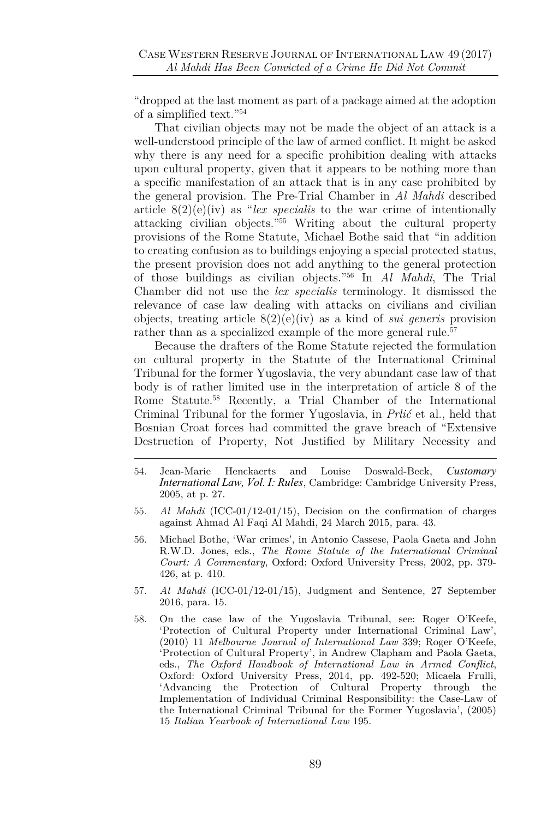"dropped at the last moment as part of a package aimed at the adoption of a simplified text." 54

That civilian objects may not be made the object of an attack is a well-understood principle of the law of armed conflict. It might be asked why there is any need for a specific prohibition dealing with attacks upon cultural property, given that it appears to be nothing more than a specific manifestation of an attack that is in any case prohibited by the general provision. The Pre-Trial Chamber in *Al Mahdi* described article 8(2)(e)(iv) as "*lex specialis* to the war crime of intentionally attacking civilian objects." <sup>55</sup> Writing about the cultural property provisions of the Rome Statute, Michael Bothe said that "in addition to creating confusion as to buildings enjoying a special protected status, the present provision does not add anything to the general protection of those buildings as civilian objects." <sup>56</sup> In *Al Mahdi*, The Trial Chamber did not use the *lex specialis* terminology. It dismissed the relevance of case law dealing with attacks on civilians and civilian objects, treating article 8(2)(e)(iv) as a kind of *sui generis* provision rather than as a specialized example of the more general rule.<sup>57</sup>

Because the drafters of the Rome Statute rejected the formulation on cultural property in the Statute of the International Criminal Tribunal for the former Yugoslavia, the very abundant case law of that body is of rather limited use in the interpretation of article 8 of the Rome Statute.<sup>58</sup> Recently, a Trial Chamber of the International Criminal Tribunal for the former Yugoslavia, in *Prlić* et al., held that Bosnian Croat forces had committed the grave breach of "Extensive Destruction of Property, Not Justified by Military Necessity and

- 56. Michael Bothe, 'War crimes', in Antonio Cassese, Paola Gaeta and John R.W.D. Jones, eds., *The Rome Statute of the International Criminal Court: A Commentary*, Oxford: Oxford University Press, 2002, pp. 379- 426, at p. 410.
- 57*. Al Mahdi* (ICC-01/12-01/15), Judgment and Sentence, 27 September 2016, para. 15.
- 58. On the case law of the Yugoslavia Tribunal, see: Roger O'Keefe, 'Protection of Cultural Property under International Criminal Law', (2010) 11 *Melbourne Journal of International Law* 339; Roger O'Keefe, 'Protection of Cultural Property', in Andrew Clapham and Paola Gaeta, eds., *The Oxford Handbook of International Law in Armed Conflict*, Oxford: Oxford University Press, 2014, pp. 492-520; Micaela Frulli, 'Advancing the Protection of Cultural Property through the Implementation of Individual Criminal Responsibility: the Case-Law of the International Criminal Tribunal for the Former Yugoslavia', (2005) 15 *Italian Yearbook of International Law* 195.

<sup>54.</sup> Jean-Marie Henckaerts and Louise Doswald-Beck, *Customary International Law, Vol. I: Rules*, Cambridge: Cambridge University Press, 2005, at p. 27.

<sup>55</sup>*. Al Mahdi* (ICC-01/12-01/15), Decision on the confirmation of charges against Ahmad Al Faqi Al Mahdi, 24 March 2015, para. 43.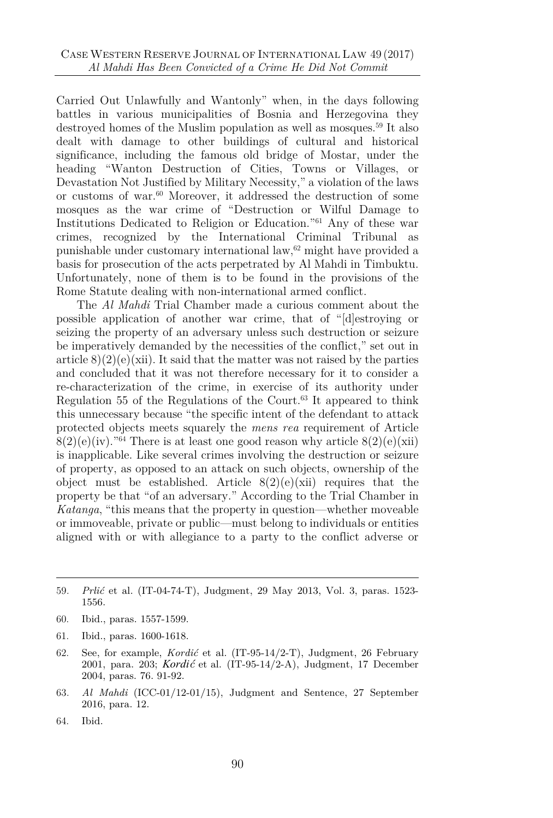Carried Out Unlawfully and Wantonly" when, in the days following battles in various municipalities of Bosnia and Herzegovina they destroyed homes of the Muslim population as well as mosques.<sup>59</sup> It also dealt with damage to other buildings of cultural and historical significance, including the famous old bridge of Mostar, under the heading "Wanton Destruction of Cities, Towns or Villages, or Devastation Not Justified by Military Necessity," a violation of the laws or customs of war.<sup>60</sup> Moreover, it addressed the destruction of some mosques as the war crime of "Destruction or Wilful Damage to Institutions Dedicated to Religion or Education."<sup>61</sup> Any of these war crimes, recognized by the International Criminal Tribunal as punishable under customary international law, $62$  might have provided a basis for prosecution of the acts perpetrated by Al Mahdi in Timbuktu. Unfortunately, none of them is to be found in the provisions of the Rome Statute dealing with non-international armed conflict.

The *Al Mahdi* Trial Chamber made a curious comment about the possible application of another war crime, that of "[d]estroying or seizing the property of an adversary unless such destruction or seizure be imperatively demanded by the necessities of the conflict," set out in article  $8(2)(e)(xii)$ . It said that the matter was not raised by the parties and concluded that it was not therefore necessary for it to consider a re-characterization of the crime, in exercise of its authority under Regulation 55 of the Regulations of the Court. $63$  It appeared to think this unnecessary because "the specific intent of the defendant to attack protected objects meets squarely the *mens rea* requirement of Article  $8(2)(e)(iv)$ ."<sup>64</sup> There is at least one good reason why article  $8(2)(e)(xii)$ is inapplicable. Like several crimes involving the destruction or seizure of property, as opposed to an attack on such objects, ownership of the object must be established. Article  $8(2)(e)(xii)$  requires that the property be that "of an adversary." According to the Trial Chamber in *Katanga*, "this means that the property in question—whether moveable or immoveable, private or public—must belong to individuals or entities aligned with or with allegiance to a party to the conflict adverse or

- 62. See, for example, *Kordić* et al. (IT-95-14/2-T), Judgment, 26 February 2001, para. 203; *Kordić* et al. (IT-95-14/2-A), Judgment, 17 December 2004, paras. 76. 91-92.
- 63*. Al Mahdi* (ICC-01/12-01/15), Judgment and Sentence, 27 September 2016, para. 12.
- 64. Ibid.

<sup>59</sup>*. Prlić* et al. (IT-04-74-T), Judgment, 29 May 2013, Vol. 3, paras. 1523- 1556.

<sup>60.</sup> Ibid., paras. 1557-1599.

<sup>61.</sup> Ibid., paras. 1600-1618.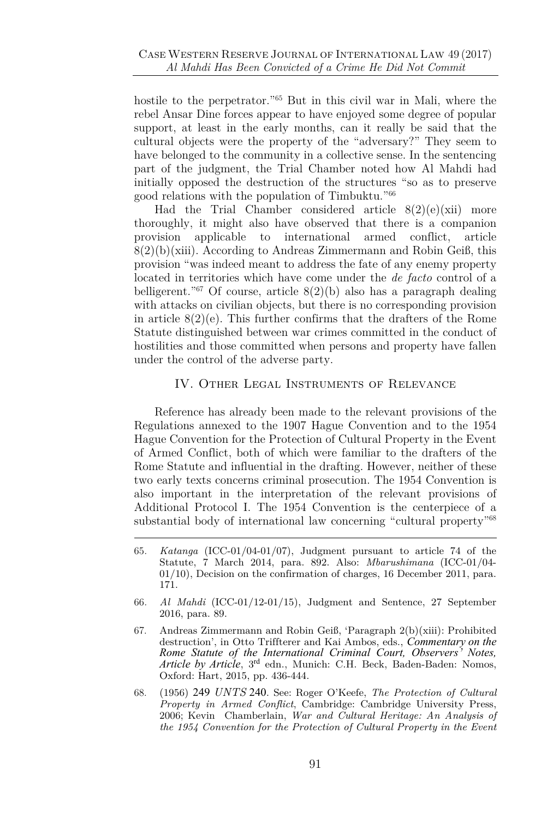hostile to the perpetrator.<sup>"65</sup> But in this civil war in Mali, where the rebel Ansar Dine forces appear to have enjoyed some degree of popular support, at least in the early months, can it really be said that the cultural objects were the property of the "adversary?" They seem to have belonged to the community in a collective sense. In the sentencing part of the judgment, the Trial Chamber noted how Al Mahdi had initially opposed the destruction of the structures "so as to preserve good relations with the population of Timbuktu." 66

Had the Trial Chamber considered article  $8(2)(e)(xii)$  more thoroughly, it might also have observed that there is a companion provision applicable to international armed conflict, article  $8(2)(b)(xiii)$ . According to Andreas Zimmermann and Robin Geiß, this provision "was indeed meant to address the fate of any enemy property located in territories which have come under the *de facto* control of a belligerent."<sup>67</sup> Of course, article  $8(2)(b)$  also has a paragraph dealing with attacks on civilian objects, but there is no corresponding provision in article  $8(2)(e)$ . This further confirms that the drafters of the Rome Statute distinguished between war crimes committed in the conduct of hostilities and those committed when persons and property have fallen under the control of the adverse party.

#### IV. Other Legal Instruments of Relevance

Reference has already been made to the relevant provisions of the Regulations annexed to the 1907 Hague Convention and to the 1954 Hague Convention for the Protection of Cultural Property in the Event of Armed Conflict, both of which were familiar to the drafters of the Rome Statute and influential in the drafting. However, neither of these two early texts concerns criminal prosecution. The 1954 Convention is also important in the interpretation of the relevant provisions of Additional Protocol I. The 1954 Convention is the centerpiece of a substantial body of international law concerning "cultural property"<sup>68</sup>

- 66*. Al Mahdi* (ICC-01/12-01/15), Judgment and Sentence, 27 September 2016, para. 89.
- 67. Andreas Zimmermann and Robin Geiß, 'Paragraph 2(b)(xiii): Prohibited destruction', in Otto Triffterer and Kai Ambos, eds., *Commentary on the Rome Statute of the International Criminal Court, Observers' Notes, Article by Article*, 3rd edn., Munich: C.H. Beck, Baden-Baden: Nomos, Oxford: Hart, 2015, pp. 436-444.
- 68. (1956) 249 *UNTS* 240. See: Roger O'Keefe, *The Protection of Cultural Property in Armed Conflict*, Cambridge: Cambridge University Press, 2006; Kevin Chamberlain, *War and Cultural Heritage: An Analysis of the 1954 Convention for the Protection of Cultural Property in the Event*

<sup>65</sup>*. Katanga* (ICC-01/04-01/07), Judgment pursuant to article 74 of the Statute, 7 March 2014, para. 892. Also: *Mbarushimana* (ICC-01/04- 01/10), Decision on the confirmation of charges, 16 December 2011, para. 171.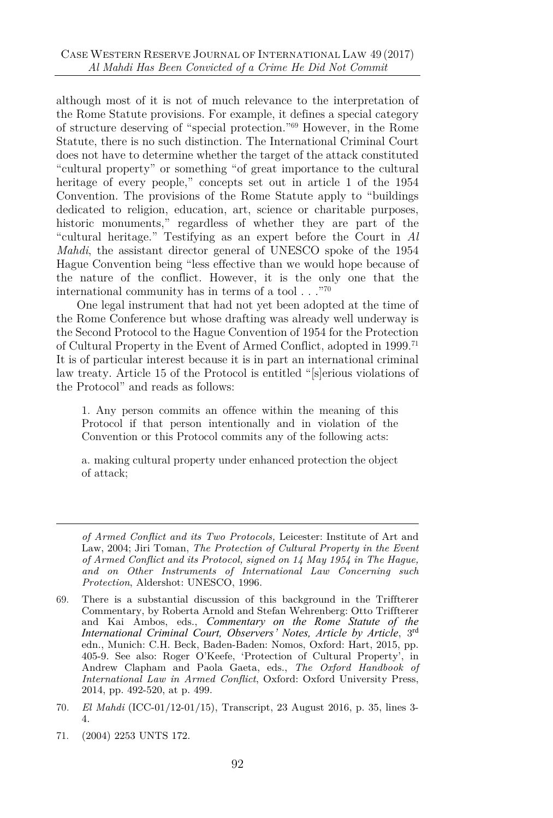although most of it is not of much relevance to the interpretation of the Rome Statute provisions. For example, it defines a special category of structure deserving of "special protection." <sup>69</sup> However, in the Rome Statute, there is no such distinction. The International Criminal Court does not have to determine whether the target of the attack constituted "cultural property" or something "of great importance to the cultural heritage of every people," concepts set out in article 1 of the 1954 Convention. The provisions of the Rome Statute apply to "buildings dedicated to religion, education, art, science or charitable purposes, historic monuments," regardless of whether they are part of the "cultural heritage." Testifying as an expert before the Court in *Al Mahdi*, the assistant director general of UNESCO spoke of the 1954 Hague Convention being "less effective than we would hope because of the nature of the conflict. However, it is the only one that the international community has in terms of a tool  $\ldots$ <sup>"70</sup>

One legal instrument that had not yet been adopted at the time of the Rome Conference but whose drafting was already well underway is the Second Protocol to the Hague Convention of 1954 for the Protection of Cultural Property in the Event of Armed Conflict, adopted in 1999.<sup>71</sup> It is of particular interest because it is in part an international criminal law treaty. Article 15 of the Protocol is entitled "[s]erious violations of the Protocol" and reads as follows:

1. Any person commits an offence within the meaning of this Protocol if that person intentionally and in violation of the Convention or this Protocol commits any of the following acts:

a. making cultural property under enhanced protection the object of attack;

*of Armed Conflict and its Two Protocols,* Leicester: Institute of Art and Law, 2004; Jiri Toman, *The Protection of Cultural Property in the Event of Armed Conflict and its Protocol, signed on 14 May 1954 in The Hague, and on Other Instruments of International Law Concerning such Protection*, Aldershot: UNESCO, 1996.

<sup>69.</sup> There is a substantial discussion of this background in the Triffterer Commentary, by Roberta Arnold and Stefan Wehrenberg: Otto Triffterer and Kai Ambos, eds., *Commentary on the Rome Statute of the International Criminal Court, Observers' Notes, Article by Article*, 3rd edn., Munich: C.H. Beck, Baden-Baden: Nomos, Oxford: Hart, 2015, pp. 405-9. See also: Roger O'Keefe, 'Protection of Cultural Property', in Andrew Clapham and Paola Gaeta, eds., *The Oxford Handbook of International Law in Armed Conflict*, Oxford: Oxford University Press, 2014, pp. 492-520, at p. 499.

<sup>70</sup>*. El Mahdi* (ICC-01/12-01/15), Transcript, 23 August 2016, p. 35, lines 3- 4.

<sup>71.</sup> (2004) 2253 UNTS 172.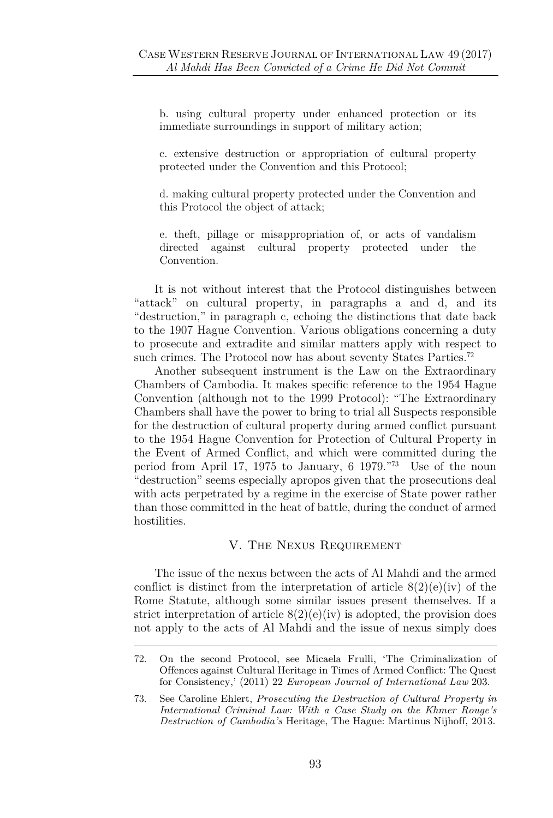b. using cultural property under enhanced protection or its immediate surroundings in support of military action;

c. extensive destruction or appropriation of cultural property protected under the Convention and this Protocol;

d. making cultural property protected under the Convention and this Protocol the object of attack;

e. theft, pillage or misappropriation of, or acts of vandalism directed against cultural property protected under the Convention.

It is not without interest that the Protocol distinguishes between "attack" on cultural property, in paragraphs a and d, and its "destruction," in paragraph c, echoing the distinctions that date back to the 1907 Hague Convention. Various obligations concerning a duty to prosecute and extradite and similar matters apply with respect to such crimes. The Protocol now has about seventy States Parties.<sup>72</sup>

Another subsequent instrument is the Law on the Extraordinary Chambers of Cambodia. It makes specific reference to the 1954 Hague Convention (although not to the 1999 Protocol): "The Extraordinary Chambers shall have the power to bring to trial all Suspects responsible for the destruction of cultural property during armed conflict pursuant to the 1954 Hague Convention for Protection of Cultural Property in the Event of Armed Conflict, and which were committed during the period from April 17, 1975 to January, 6 1979." <sup>73</sup> Use of the noun "destruction" seems especially apropos given that the prosecutions deal with acts perpetrated by a regime in the exercise of State power rather than those committed in the heat of battle, during the conduct of armed hostilities.

#### V. The Nexus Requirement

The issue of the nexus between the acts of Al Mahdi and the armed conflict is distinct from the interpretation of article  $8(2)(e)(iv)$  of the Rome Statute, although some similar issues present themselves. If a strict interpretation of article  $8(2)(e)(iv)$  is adopted, the provision does not apply to the acts of Al Mahdi and the issue of nexus simply does

<sup>72.</sup> On the second Protocol, see Micaela Frulli, 'The Criminalization of Offences against Cultural Heritage in Times of Armed Conflict: The Quest for Consistency,' (2011) 22 *European Journal of International Law* 203.

<sup>73.</sup> See Caroline Ehlert, *Prosecuting the Destruction of Cultural Property in International Criminal Law: With a Case Study on the Khmer Rouge's Destruction of Cambodia's* Heritage, The Hague: Martinus Nijhoff, 2013.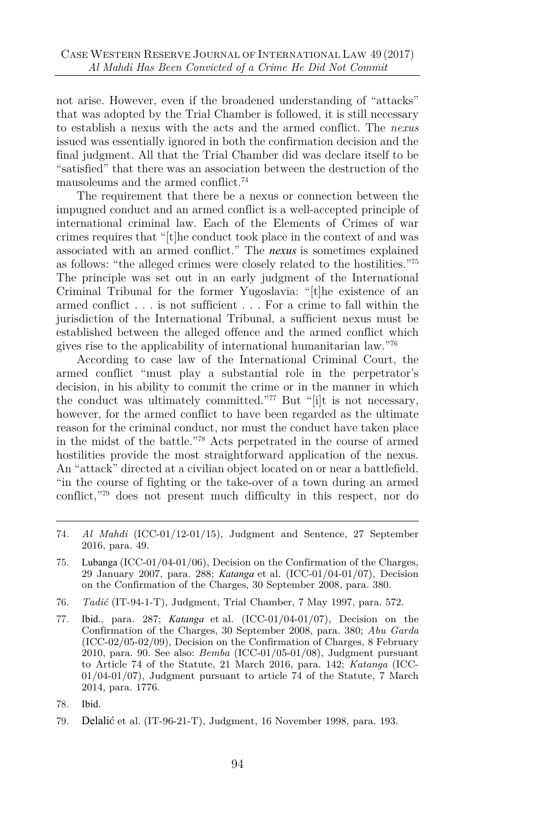not arise. However, even if the broadened understanding of "attacks" that was adopted by the Trial Chamber is followed, it is still necessary to establish a nexus with the acts and the armed conflict. The *nexus* issued was essentially ignored in both the confirmation decision and the final judgment. All that the Trial Chamber did was declare itself to be "satisfied" that there was an association between the destruction of the mausoleums and the armed conflict.<sup>74</sup>

The requirement that there be a nexus or connection between the impugned conduct and an armed conflict is a well-accepted principle of international criminal law. Each of the Elements of Crimes of war crimes requires that "[t]he conduct took place in the context of and was associated with an armed conflict." The *nexus* is sometimes explained as follows: "the alleged crimes were closely related to the hostilities." 75 The principle was set out in an early judgment of the International Criminal Tribunal for the former Yugoslavia: "[t]he existence of an armed conflict . . . is not sufficient . . . For a crime to fall within the jurisdiction of the International Tribunal, a sufficient nexus must be established between the alleged offence and the armed conflict which gives rise to the applicability of international humanitarian law." 76

According to case law of the International Criminal Court, the armed conflict "must play a substantial role in the perpetrator's decision, in his ability to commit the crime or in the manner in which the conduct was ultimately committed."<sup>77</sup> But "[i]t is not necessary, however, for the armed conflict to have been regarded as the ultimate reason for the criminal conduct, nor must the conduct have taken place in the midst of the battle." <sup>78</sup> Acts perpetrated in the course of armed hostilities provide the most straightforward application of the nexus. An "attack" directed at a civilian object located on or near a battlefield, "in the course of fighting or the take-over of a town during an armed conflict," <sup>79</sup> does not present much difficulty in this respect, nor do

- 75*.* Lubanga (ICC-01/04-01/06), Decision on the Confirmation of the Charges, 29 January 2007, para. 288; *Katanga* et al. (ICC-01/04-01/07), Decision on the Confirmation of the Charges, 30 September 2008, para. 380.
- 76*. Tadić* (IT-94-1-T), Judgment, Trial Chamber, 7 May 1997, para. 572.
- 77*.* Ibid., para. 287; *Katanga* et al. (ICC-01/04-01/07), Decision on the Confirmation of the Charges, 30 September 2008, para. 380; *Abu Garda* (ICC-02/05-02/09), Decision on the Confirmation of Charges, 8 February 2010, para. 90. See also: *Bemba* (ICC-01/05-01/08), Judgment pursuant to Article 74 of the Statute, 21 March 2016, para. 142; *Katanga* (ICC-01/04-01/07), Judgment pursuant to article 74 of the Statute, 7 March 2014, para. 1776.
- 78*.* Ibid.

<sup>74</sup>*. Al Mahdi* (ICC-01/12-01/15), Judgment and Sentence, 27 September 2016, para. 49.

<sup>79</sup>*.* Delalić et al. (IT-96-21-T), Judgment, 16 November 1998, para. 193.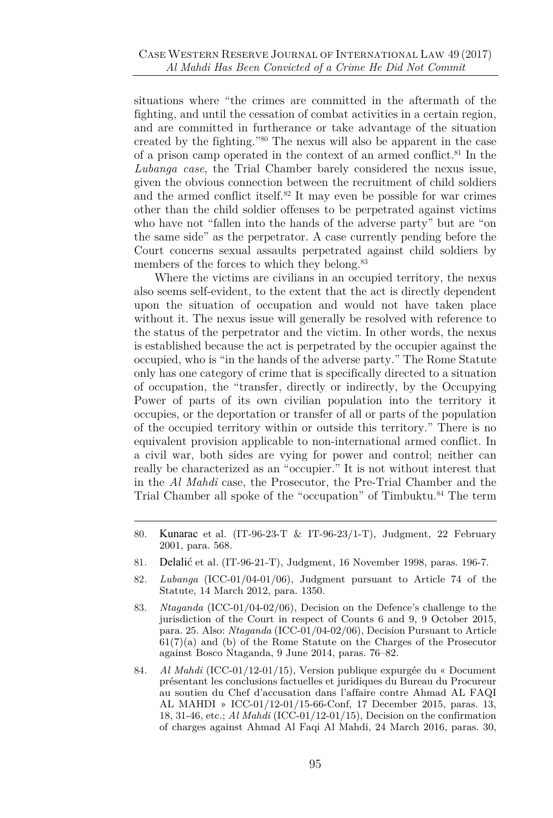situations where "the crimes are committed in the aftermath of the fighting, and until the cessation of combat activities in a certain region, and are committed in furtherance or take advantage of the situation created by the fighting." <sup>80</sup> The nexus will also be apparent in the case of a prison camp operated in the context of an armed conflict.<sup>81</sup> In the *Lubanga case*, the Trial Chamber barely considered the nexus issue, given the obvious connection between the recruitment of child soldiers and the armed conflict itself. $82$  It may even be possible for war crimes other than the child soldier offenses to be perpetrated against victims who have not "fallen into the hands of the adverse party" but are "on the same side" as the perpetrator. A case currently pending before the Court concerns sexual assaults perpetrated against child soldiers by members of the forces to which they belong.<sup>83</sup>

Where the victims are civilians in an occupied territory, the nexus also seems self-evident, to the extent that the act is directly dependent upon the situation of occupation and would not have taken place without it. The nexus issue will generally be resolved with reference to the status of the perpetrator and the victim. In other words, the nexus is established because the act is perpetrated by the occupier against the occupied, who is "in the hands of the adverse party." The Rome Statute only has one category of crime that is specifically directed to a situation of occupation, the "transfer, directly or indirectly, by the Occupying Power of parts of its own civilian population into the territory it occupies, or the deportation or transfer of all or parts of the population of the occupied territory within or outside this territory." There is no equivalent provision applicable to non-international armed conflict. In a civil war, both sides are vying for power and control; neither can really be characterized as an "occupier." It is not without interest that in the *Al Mahdi* case, the Prosecutor, the Pre-Trial Chamber and the Trial Chamber all spoke of the "occupation" of Timbuktu.<sup>84</sup> The term

- 81*.* Delalić et al. (IT-96-21-T), Judgment, 16 November 1998, paras. 196-7.
- 82*. Lubanga* (ICC-01/04-01/06), Judgment pursuant to Article 74 of the Statute, 14 March 2012, para. 1350.
- 83*. Ntaganda* (ICC-01/04-02/06), Decision on the Defence's challenge to the jurisdiction of the Court in respect of Counts 6 and 9, 9 October 2015, para. 25. Also: *Ntaganda* (ICC-01/04-02/06), Decision Pursuant to Article  $61(7)(a)$  and (b) of the Rome Statute on the Charges of the Prosecutor against Bosco Ntaganda, 9 June 2014, paras. 76–82.
- 84*. Al Mahdi* (ICC-01/12-01/15), Version publique expurgée du « Document présentant les conclusions factuelles et juridiques du Bureau du Procureur au soutien du Chef d'accusation dans l'affaire contre Ahmad AL FAQI AL MAHDI » ICC-01/12-01/15-66-Conf, 17 December 2015, paras. 13, 18, 31-46, etc.; *Al Mahdi* (ICC-01/12-01/15), Decision on the confirmation of charges against Ahmad Al Faqi Al Mahdi, 24 March 2016, paras. 30,

<sup>80</sup>*.* Kunarac et al. (IT-96-23-T & IT-96-23/1-T), Judgment, 22 February 2001, para. 568.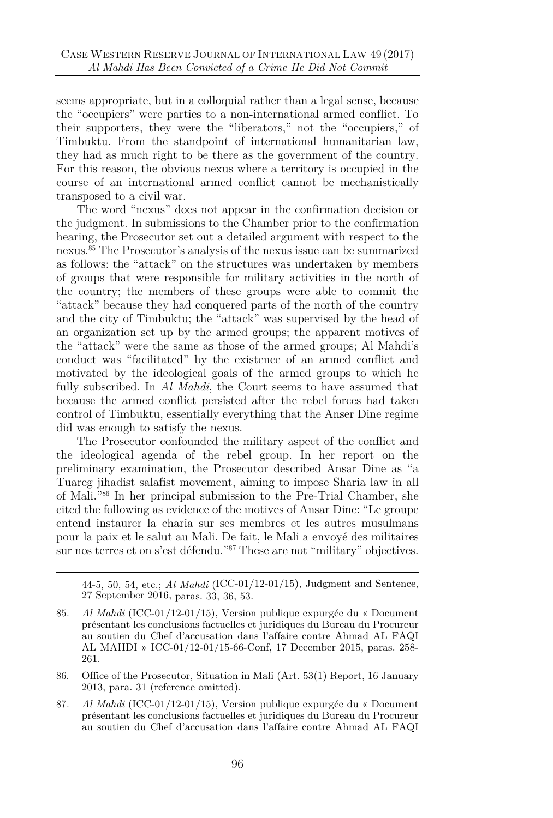seems appropriate, but in a colloquial rather than a legal sense, because the "occupiers" were parties to a non-international armed conflict. To their supporters, they were the "liberators," not the "occupiers," of Timbuktu. From the standpoint of international humanitarian law, they had as much right to be there as the government of the country. For this reason, the obvious nexus where a territory is occupied in the course of an international armed conflict cannot be mechanistically transposed to a civil war.

The word "nexus" does not appear in the confirmation decision or the judgment. In submissions to the Chamber prior to the confirmation hearing, the Prosecutor set out a detailed argument with respect to the nexus.<sup>85</sup> The Prosecutor's analysis of the nexus issue can be summarized as follows: the "attack" on the structures was undertaken by members of groups that were responsible for military activities in the north of the country; the members of these groups were able to commit the "attack" because they had conquered parts of the north of the country and the city of Timbuktu; the "attack" was supervised by the head of an organization set up by the armed groups; the apparent motives of the "attack" were the same as those of the armed groups; Al Mahdi's conduct was "facilitated" by the existence of an armed conflict and motivated by the ideological goals of the armed groups to which he fully subscribed. In *Al Mahdi*, the Court seems to have assumed that because the armed conflict persisted after the rebel forces had taken control of Timbuktu, essentially everything that the Anser Dine regime did was enough to satisfy the nexus.

The Prosecutor confounded the military aspect of the conflict and the ideological agenda of the rebel group. In her report on the preliminary examination, the Prosecutor described Ansar Dine as "a Tuareg jihadist salafist movement, aiming to impose Sharia law in all of Mali." <sup>86</sup> In her principal submission to the Pre-Trial Chamber, she cited the following as evidence of the motives of Ansar Dine: "Le groupe entend instaurer la charia sur ses membres et les autres musulmans pour la paix et le salut au Mali. De fait, le Mali a envoyé des militaires sur nos terres et on s'est défendu." <sup>87</sup> These are not "military" objectives.

44-5, 50, 54, etc.; *Al Mahdi* (ICC-01/12-01/15), Judgment and Sentence, 27 September 2016, paras. 33, 36, 53.

87*. Al Mahdi* (ICC-01/12-01/15), Version publique expurgée du « Document présentant les conclusions factuelles et juridiques du Bureau du Procureur au soutien du Chef d'accusation dans l'affaire contre Ahmad AL FAQI

<sup>85</sup>*. Al Mahdi* (ICC-01/12-01/15), Version publique expurgée du « Document présentant les conclusions factuelles et juridiques du Bureau du Procureur au soutien du Chef d'accusation dans l'affaire contre Ahmad AL FAQI AL MAHDI » ICC-01/12-01/15-66-Conf, 17 December 2015, paras. 258- 261.

<sup>86.</sup> Office of the Prosecutor, Situation in Mali (Art. 53(1) Report, 16 January 2013, para. 31 (reference omitted).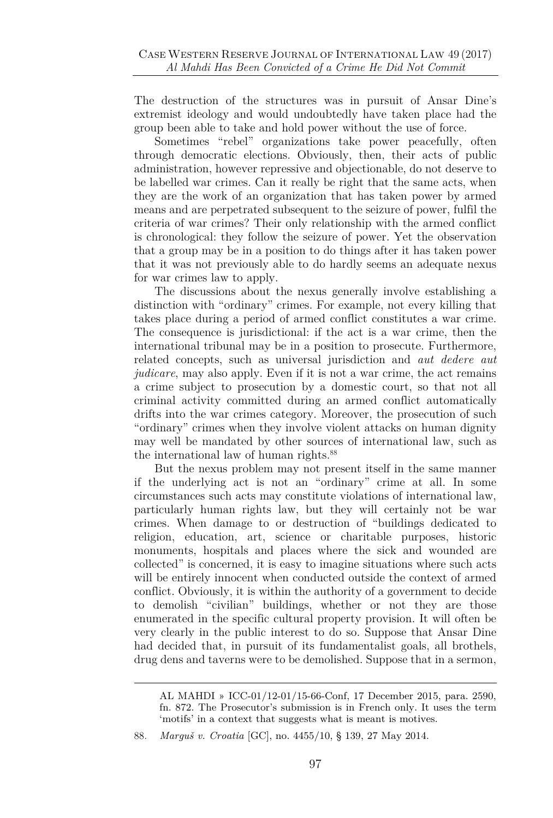The destruction of the structures was in pursuit of Ansar Dine's extremist ideology and would undoubtedly have taken place had the group been able to take and hold power without the use of force.

Sometimes "rebel" organizations take power peacefully, often through democratic elections. Obviously, then, their acts of public administration, however repressive and objectionable, do not deserve to be labelled war crimes. Can it really be right that the same acts, when they are the work of an organization that has taken power by armed means and are perpetrated subsequent to the seizure of power, fulfil the criteria of war crimes? Their only relationship with the armed conflict is chronological: they follow the seizure of power. Yet the observation that a group may be in a position to do things after it has taken power that it was not previously able to do hardly seems an adequate nexus for war crimes law to apply.

The discussions about the nexus generally involve establishing a distinction with "ordinary" crimes. For example, not every killing that takes place during a period of armed conflict constitutes a war crime. The consequence is jurisdictional: if the act is a war crime, then the international tribunal may be in a position to prosecute. Furthermore, related concepts, such as universal jurisdiction and *aut dedere aut judicare*, may also apply. Even if it is not a war crime, the act remains a crime subject to prosecution by a domestic court, so that not all criminal activity committed during an armed conflict automatically drifts into the war crimes category. Moreover, the prosecution of such "ordinary" crimes when they involve violent attacks on human dignity may well be mandated by other sources of international law, such as the international law of human rights.<sup>88</sup>

But the nexus problem may not present itself in the same manner if the underlying act is not an "ordinary" crime at all. In some circumstances such acts may constitute violations of international law, particularly human rights law, but they will certainly not be war crimes. When damage to or destruction of "buildings dedicated to religion, education, art, science or charitable purposes, historic monuments, hospitals and places where the sick and wounded are collected" is concerned, it is easy to imagine situations where such acts will be entirely innocent when conducted outside the context of armed conflict. Obviously, it is within the authority of a government to decide to demolish "civilian" buildings, whether or not they are those enumerated in the specific cultural property provision. It will often be very clearly in the public interest to do so. Suppose that Ansar Dine had decided that, in pursuit of its fundamentalist goals, all brothels, drug dens and taverns were to be demolished. Suppose that in a sermon,

AL MAHDI » ICC-01/12-01/15-66-Conf, 17 December 2015, para. 2590, fn. 872. The Prosecutor's submission is in French only. It uses the term 'motifs' in a context that suggests what is meant is motives.

<sup>88</sup>*. Marguš v. Croatia* [GC], no. 4455/10, § 139, 27 May 2014.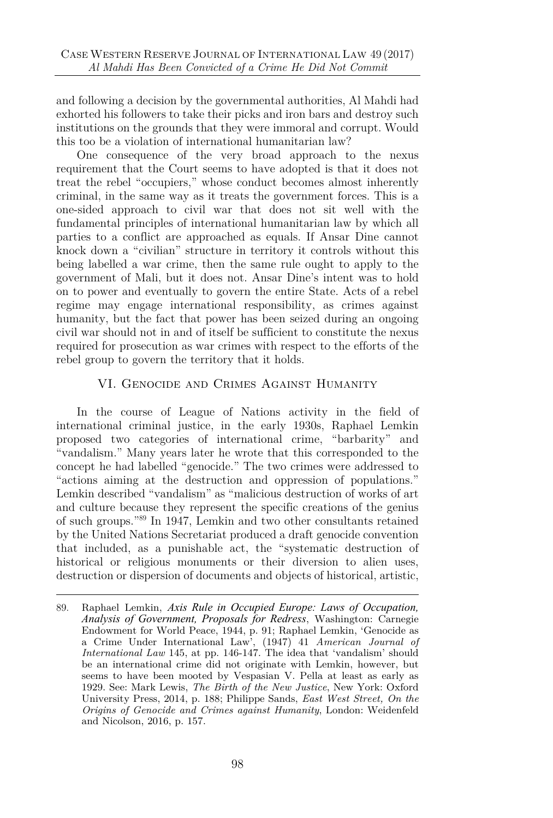and following a decision by the governmental authorities, Al Mahdi had exhorted his followers to take their picks and iron bars and destroy such institutions on the grounds that they were immoral and corrupt. Would this too be a violation of international humanitarian law?

One consequence of the very broad approach to the nexus requirement that the Court seems to have adopted is that it does not treat the rebel "occupiers," whose conduct becomes almost inherently criminal, in the same way as it treats the government forces. This is a one-sided approach to civil war that does not sit well with the fundamental principles of international humanitarian law by which all parties to a conflict are approached as equals. If Ansar Dine cannot knock down a "civilian" structure in territory it controls without this being labelled a war crime, then the same rule ought to apply to the government of Mali, but it does not. Ansar Dine's intent was to hold on to power and eventually to govern the entire State. Acts of a rebel regime may engage international responsibility, as crimes against humanity, but the fact that power has been seized during an ongoing civil war should not in and of itself be sufficient to constitute the nexus required for prosecution as war crimes with respect to the efforts of the rebel group to govern the territory that it holds.

#### VI. Genocide and Crimes Against Humanity

In the course of League of Nations activity in the field of international criminal justice, in the early 1930s, Raphael Lemkin proposed two categories of international crime, "barbarity" and "vandalism." Many years later he wrote that this corresponded to the concept he had labelled "genocide." The two crimes were addressed to "actions aiming at the destruction and oppression of populations." Lemkin described "vandalism" as "malicious destruction of works of art and culture because they represent the specific creations of the genius of such groups." <sup>89</sup> In 1947, Lemkin and two other consultants retained by the United Nations Secretariat produced a draft genocide convention that included, as a punishable act, the "systematic destruction of historical or religious monuments or their diversion to alien uses, destruction or dispersion of documents and objects of historical, artistic,

<sup>89.</sup> Raphael Lemkin, *Axis Rule in Occupied Europe: Laws of Occupation, Analysis of Government, Proposals for Redress*, Washington: Carnegie Endowment for World Peace, 1944, p. 91; Raphael Lemkin, 'Genocide as a Crime Under International Law', (1947) 41 *American Journal of International Law* 145, at pp. 146-147. The idea that 'vandalism' should be an international crime did not originate with Lemkin, however, but seems to have been mooted by Vespasian V. Pella at least as early as 1929. See: Mark Lewis, *The Birth of the New Justice*, New York: Oxford University Press, 2014, p. 188; Philippe Sands, *East West Street, On the Origins of Genocide and Crimes against Humanity*, London: Weidenfeld and Nicolson, 2016, p. 157.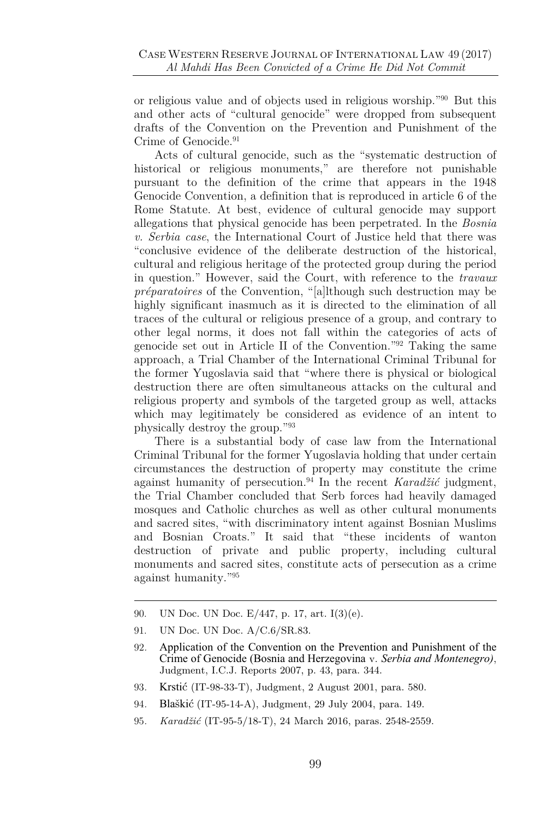or religious value and of objects used in religious worship." <sup>90</sup> But this and other acts of "cultural genocide" were dropped from subsequent drafts of the Convention on the Prevention and Punishment of the Crime of Genocide.<sup>91</sup>

Acts of cultural genocide, such as the "systematic destruction of historical or religious monuments," are therefore not punishable pursuant to the definition of the crime that appears in the 1948 Genocide Convention, a definition that is reproduced in article 6 of the Rome Statute. At best, evidence of cultural genocide may support allegations that physical genocide has been perpetrated. In the *Bosnia v. Serbia case*, the International Court of Justice held that there was "conclusive evidence of the deliberate destruction of the historical, cultural and religious heritage of the protected group during the period in question." However, said the Court, with reference to the *travaux préparatoires* of the Convention, "[a]lthough such destruction may be highly significant inasmuch as it is directed to the elimination of all traces of the cultural or religious presence of a group, and contrary to other legal norms, it does not fall within the categories of acts of genocide set out in Article II of the Convention." <sup>92</sup> Taking the same approach, a Trial Chamber of the International Criminal Tribunal for the former Yugoslavia said that "where there is physical or biological destruction there are often simultaneous attacks on the cultural and religious property and symbols of the targeted group as well, attacks which may legitimately be considered as evidence of an intent to physically destroy the group." 93

There is a substantial body of case law from the International Criminal Tribunal for the former Yugoslavia holding that under certain circumstances the destruction of property may constitute the crime against humanity of persecution.<sup>94</sup> In the recent *Karadžić* judgment, the Trial Chamber concluded that Serb forces had heavily damaged mosques and Catholic churches as well as other cultural monuments and sacred sites, "with discriminatory intent against Bosnian Muslims and Bosnian Croats." It said that "these incidents of wanton destruction of private and public property, including cultural monuments and sacred sites, constitute acts of persecution as a crime against humanity." 95

- 90. UN Doc. UN Doc. E/447, p. 17, art. I(3)(e).
- 91. UN Doc. UN Doc. A/C.6/SR.83.

- 93*.* Krstić (IT-98-33-T), Judgment, 2 August 2001, para. 580.
- 94*.* Blaškić (IT-95-14-A), Judgment, 29 July 2004, para. 149.
- 95*. Karadžić* (IT-95-5/18-T), 24 March 2016, paras. 2548-2559.

<sup>92</sup>*.* Application of the Convention on the Prevention and Punishment of the Crime of Genocide (Bosnia and Herzegovina v. *Serbia and Montenegro)*, Judgment, I.C.J. Reports 2007, p. 43, para. 344.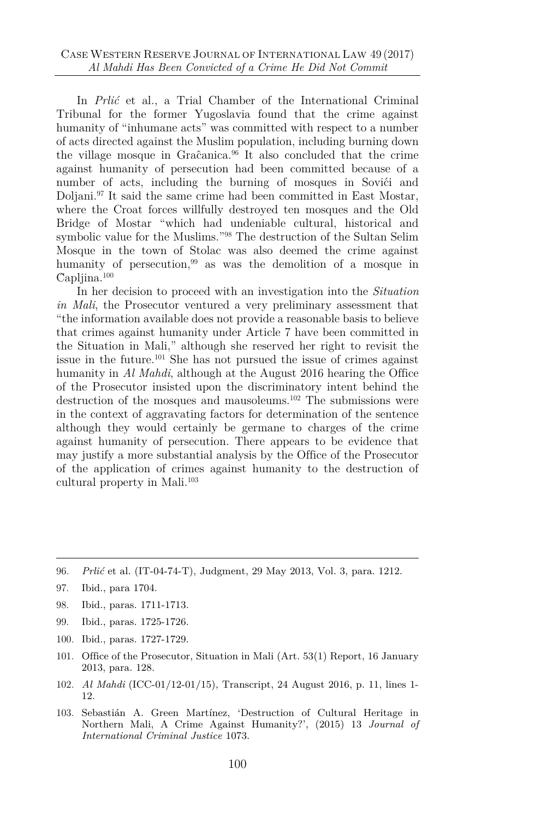In *Prlić* et al., a Trial Chamber of the International Criminal Tribunal for the former Yugoslavia found that the crime against humanity of "inhumane acts" was committed with respect to a number of acts directed against the Muslim population, including burning down the village mosque in Graĉanica. $96$  It also concluded that the crime against humanity of persecution had been committed because of a number of acts, including the burning of mosques in Sovici and Doljani.<sup>97</sup> It said the same crime had been committed in East Mostar, where the Croat forces willfully destroyed ten mosques and the Old Bridge of Mostar "which had undeniable cultural, historical and symbolic value for the Muslims." <sup>98</sup> The destruction of the Sultan Selim Mosque in the town of Stolac was also deemed the crime against humanity of persecution,<sup>99</sup> as was the demolition of a mosque in Ĉapljina.<sup>100</sup>

In her decision to proceed with an investigation into the *Situation in Mali*, the Prosecutor ventured a very preliminary assessment that "the information available does not provide a reasonable basis to believe that crimes against humanity under Article 7 have been committed in the Situation in Mali," although she reserved her right to revisit the issue in the future.<sup>101</sup> She has not pursued the issue of crimes against humanity in *Al Mahdi*, although at the August 2016 hearing the Office of the Prosecutor insisted upon the discriminatory intent behind the destruction of the mosques and mausoleums.<sup>102</sup> The submissions were in the context of aggravating factors for determination of the sentence although they would certainly be germane to charges of the crime against humanity of persecution. There appears to be evidence that may justify a more substantial analysis by the Office of the Prosecutor of the application of crimes against humanity to the destruction of cultural property in Mali.<sup>103</sup>

- 99. Ibid., paras. 1725-1726.
- 100. Ibid., paras. 1727-1729.
- 101. Office of the Prosecutor, Situation in Mali (Art. 53(1) Report, 16 January 2013, para. 128.
- 102*. Al Mahdi* (ICC-01/12-01/15), Transcript, 24 August 2016, p. 11, lines 1- 12.
- 103. Sebastián A. Green Martínez, 'Destruction of Cultural Heritage in Northern Mali, A Crime Against Humanity?', (2015) 13 *Journal of International Criminal Justice* 1073.

<sup>96</sup>*. Prlić* et al. (IT-04-74-T), Judgment, 29 May 2013, Vol. 3, para. 1212.

<sup>97.</sup> Ibid., para 1704.

<sup>98.</sup> Ibid., paras. 1711-1713.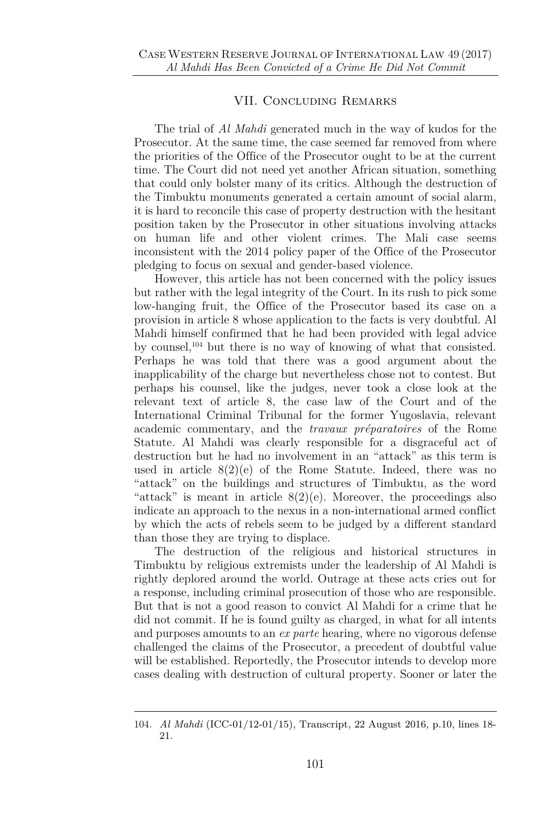#### VII. Concluding Remarks

The trial of *Al Mahdi* generated much in the way of kudos for the Prosecutor. At the same time, the case seemed far removed from where the priorities of the Office of the Prosecutor ought to be at the current time. The Court did not need yet another African situation, something that could only bolster many of its critics. Although the destruction of the Timbuktu monuments generated a certain amount of social alarm, it is hard to reconcile this case of property destruction with the hesitant position taken by the Prosecutor in other situations involving attacks on human life and other violent crimes. The Mali case seems inconsistent with the 2014 policy paper of the Office of the Prosecutor pledging to focus on sexual and gender-based violence.

However, this article has not been concerned with the policy issues but rather with the legal integrity of the Court. In its rush to pick some low-hanging fruit, the Office of the Prosecutor based its case on a provision in article 8 whose application to the facts is very doubtful. Al Mahdi himself confirmed that he had been provided with legal advice by counsel,<sup>104</sup> but there is no way of knowing of what that consisted. Perhaps he was told that there was a good argument about the inapplicability of the charge but nevertheless chose not to contest. But perhaps his counsel, like the judges, never took a close look at the relevant text of article 8, the case law of the Court and of the International Criminal Tribunal for the former Yugoslavia, relevant academic commentary, and the *travaux préparatoires* of the Rome Statute. Al Mahdi was clearly responsible for a disgraceful act of destruction but he had no involvement in an "attack" as this term is used in article  $8(2)(e)$  of the Rome Statute. Indeed, there was no "attack" on the buildings and structures of Timbuktu, as the word "attack" is meant in article  $8(2)(e)$ . Moreover, the proceedings also indicate an approach to the nexus in a non-international armed conflict by which the acts of rebels seem to be judged by a different standard than those they are trying to displace.

The destruction of the religious and historical structures in Timbuktu by religious extremists under the leadership of Al Mahdi is rightly deplored around the world. Outrage at these acts cries out for a response, including criminal prosecution of those who are responsible. But that is not a good reason to convict Al Mahdi for a crime that he did not commit. If he is found guilty as charged, in what for all intents and purposes amounts to an *ex parte* hearing, where no vigorous defense challenged the claims of the Prosecutor, a precedent of doubtful value will be established. Reportedly, the Prosecutor intends to develop more cases dealing with destruction of cultural property. Sooner or later the

<sup>104</sup>*. Al Mahdi* (ICC-01/12-01/15), Transcript, 22 August 2016, p.10, lines 18- 21.